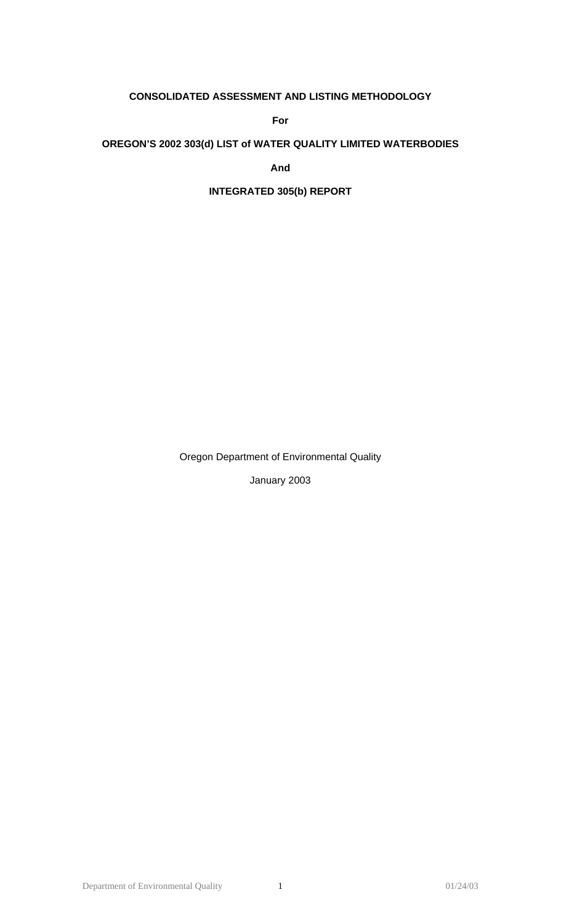# **CONSOLIDATED ASSESSMENT AND LISTING METHODOLOGY**

**For** 

## **OREGON'S 2002 303(d) LIST of WATER QUALITY LIMITED WATERBODIES**

**And** 

## **INTEGRATED 305(b) REPORT**

Oregon Department of Environmental Quality

January 2003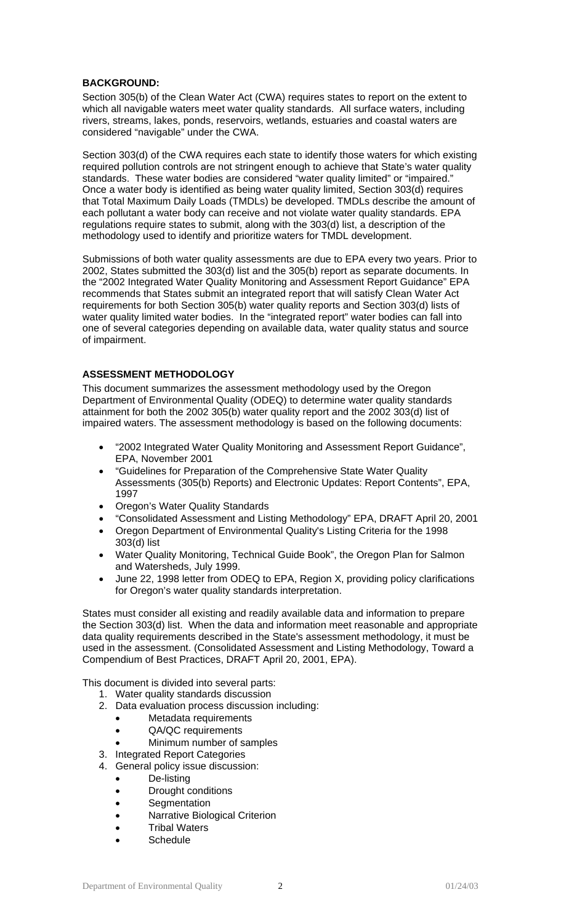## **BACKGROUND:**

Section 305(b) of the Clean Water Act (CWA) requires states to report on the extent to which all navigable waters meet water quality standards. All surface waters, including rivers, streams, lakes, ponds, reservoirs, wetlands, estuaries and coastal waters are considered "navigable" under the CWA.

Section 303(d) of the CWA requires each state to identify those waters for which existing required pollution controls are not stringent enough to achieve that State's water quality standards. These water bodies are considered "water quality limited" or "impaired." Once a water body is identified as being water quality limited, Section 303(d) requires that Total Maximum Daily Loads (TMDLs) be developed. TMDLs describe the amount of each pollutant a water body can receive and not violate water quality standards. EPA regulations require states to submit, along with the 303(d) list, a description of the methodology used to identify and prioritize waters for TMDL development.

Submissions of both water quality assessments are due to EPA every two years. Prior to 2002, States submitted the 303(d) list and the 305(b) report as separate documents. In the "2002 Integrated Water Quality Monitoring and Assessment Report Guidance" EPA recommends that States submit an integrated report that will satisfy Clean Water Act requirements for both Section 305(b) water quality reports and Section 303(d) lists of water quality limited water bodies. In the "integrated report" water bodies can fall into one of several categories depending on available data, water quality status and source of impairment.

### **ASSESSMENT METHODOLOGY**

This document summarizes the assessment methodology used by the Oregon Department of Environmental Quality (ODEQ) to determine water quality standards attainment for both the 2002 305(b) water quality report and the 2002 303(d) list of impaired waters. The assessment methodology is based on the following documents:

- "2002 Integrated Water Quality Monitoring and Assessment Report Guidance", EPA, November 2001
- "Guidelines for Preparation of the Comprehensive State Water Quality Assessments (305(b) Reports) and Electronic Updates: Report Contents", EPA, 1997
- Oregon's Water Quality Standards
- "Consolidated Assessment and Listing Methodology" EPA, DRAFT April 20, 2001
- Oregon Department of Environmental Quality's Listing Criteria for the 1998 303(d) list
- Water Quality Monitoring, Technical Guide Book", the Oregon Plan for Salmon and Watersheds, July 1999.
- June 22, 1998 letter from ODEQ to EPA, Region X, providing policy clarifications for Oregon's water quality standards interpretation.

States must consider all existing and readily available data and information to prepare the Section 303(d) list. When the data and information meet reasonable and appropriate data quality requirements described in the State's assessment methodology, it must be used in the assessment. (Consolidated Assessment and Listing Methodology, Toward a Compendium of Best Practices, DRAFT April 20, 2001, EPA).

This document is divided into several parts:

- 1. Water quality standards discussion
- 2. Data evaluation process discussion including:
	- Metadata requirements
		- QA/QC requirements
	- Minimum number of samples
- 3. Integrated Report Categories
- 4. General policy issue discussion:
	- De-listing
	- Drought conditions
	- Segmentation
	- Narrative Biological Criterion
	- Tribal Waters
	- **Schedule**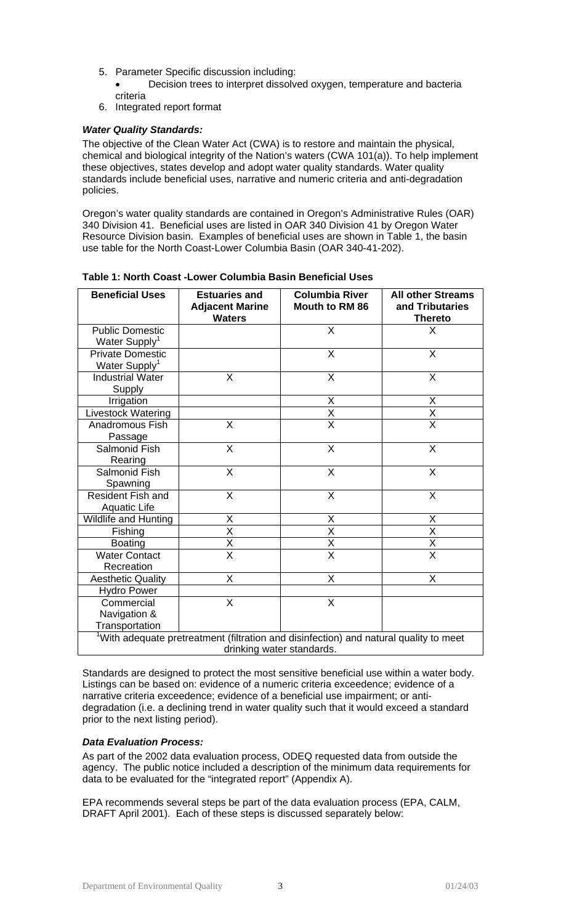5. Parameter Specific discussion including:

• Decision trees to interpret dissolved oxygen, temperature and bacteria criteria

6. Integrated report format

## *Water Quality Standards:*

The objective of the Clean Water Act (CWA) is to restore and maintain the physical, chemical and biological integrity of the Nation's waters (CWA 101(a)). To help implement these objectives, states develop and adopt water quality standards. Water quality standards include beneficial uses, narrative and numeric criteria and anti-degradation policies.

Oregon's water quality standards are contained in Oregon's Administrative Rules (OAR) 340 Division 41. Beneficial uses are listed in OAR 340 Division 41 by Oregon Water Resource Division basin. Examples of beneficial uses are shown in Table 1, the basin use table for the North Coast-Lower Columbia Basin (OAR 340-41-202).

| <b>Beneficial Uses</b>                                                                                                         | <b>Estuaries and</b><br><b>Adjacent Marine</b><br><b>Waters</b> | <b>Columbia River</b><br><b>Mouth to RM 86</b> | <b>All other Streams</b><br>and Tributaries<br><b>Thereto</b> |  |  |
|--------------------------------------------------------------------------------------------------------------------------------|-----------------------------------------------------------------|------------------------------------------------|---------------------------------------------------------------|--|--|
| <b>Public Domestic</b><br>Water Supply <sup>1</sup>                                                                            |                                                                 | $\mathsf{x}$                                   | X                                                             |  |  |
| <b>Private Domestic</b><br>Water Supply <sup>1</sup>                                                                           |                                                                 | X                                              | X                                                             |  |  |
| <b>Industrial Water</b><br>Supply                                                                                              | X                                                               | X                                              | X                                                             |  |  |
| Irrigation                                                                                                                     |                                                                 | X                                              | X                                                             |  |  |
| Livestock Watering                                                                                                             |                                                                 | $\overline{\mathsf{X}}$                        | $\overline{\mathsf{x}}$                                       |  |  |
| Anadromous Fish<br>Passage                                                                                                     | X                                                               | $\overline{\mathsf{x}}$                        | $\overline{\mathsf{x}}$                                       |  |  |
| <b>Salmonid Fish</b><br>Rearing                                                                                                | $\overline{\mathsf{X}}$                                         | $\overline{\mathsf{x}}$                        | X                                                             |  |  |
| <b>Salmonid Fish</b><br>Spawning                                                                                               | X                                                               | X                                              | $\sf X$                                                       |  |  |
| <b>Resident Fish and</b><br><b>Aquatic Life</b>                                                                                | X                                                               | X                                              | X                                                             |  |  |
| Wildlife and Hunting                                                                                                           | X                                                               | Χ                                              | X                                                             |  |  |
| Fishing                                                                                                                        | X                                                               | $\overline{\mathsf{x}}$                        | $\overline{\mathsf{x}}$                                       |  |  |
| <b>Boating</b>                                                                                                                 | $\frac{\mathsf{x}}{\mathsf{x}}$                                 | $\frac{\overline{X}}{\overline{X}}$            | $\frac{X}{X}$                                                 |  |  |
| <b>Water Contact</b><br>Recreation                                                                                             |                                                                 |                                                |                                                               |  |  |
| <b>Aesthetic Quality</b>                                                                                                       | X                                                               | X                                              | X                                                             |  |  |
| <b>Hydro Power</b>                                                                                                             |                                                                 |                                                |                                                               |  |  |
| Commercial<br>Navigation &<br>Transportation                                                                                   | X                                                               | X                                              |                                                               |  |  |
|                                                                                                                                |                                                                 |                                                |                                                               |  |  |
| <sup>1</sup> With adequate pretreatment (filtration and disinfection) and natural quality to meet<br>drinking water standards. |                                                                 |                                                |                                                               |  |  |

**Table 1: North Coast -Lower Columbia Basin Beneficial Uses** 

Standards are designed to protect the most sensitive beneficial use within a water body. Listings can be based on: evidence of a numeric criteria exceedence; evidence of a narrative criteria exceedence; evidence of a beneficial use impairment; or antidegradation (i.e. a declining trend in water quality such that it would exceed a standard prior to the next listing period).

## *Data Evaluation Process:*

As part of the 2002 data evaluation process, ODEQ requested data from outside the agency. The public notice included a description of the minimum data requirements for data to be evaluated for the "integrated report" (Appendix A).

EPA recommends several steps be part of the data evaluation process (EPA, CALM, DRAFT April 2001). Each of these steps is discussed separately below: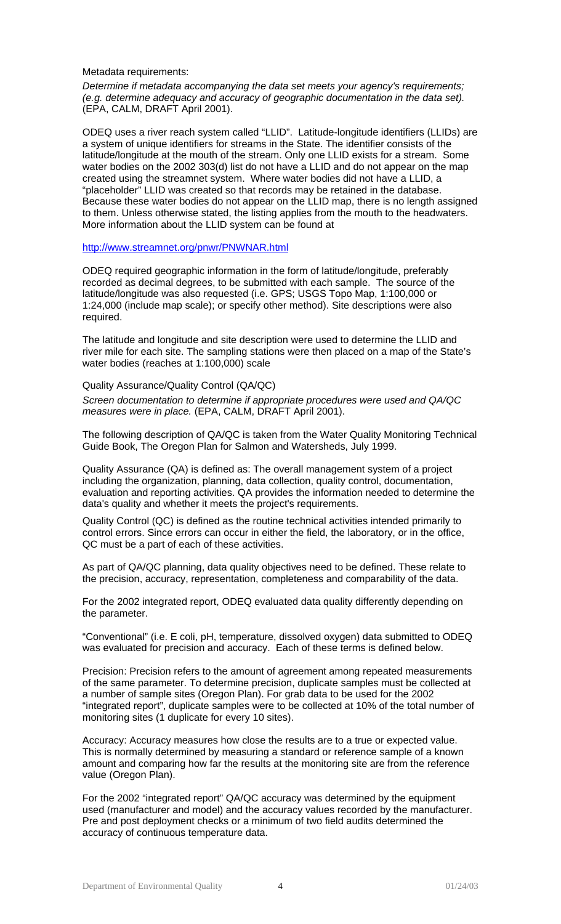#### Metadata requirements:

*Determine if metadata accompanying the data set meets your agency's requirements; (e.g. determine adequacy and accuracy of geographic documentation in the data set).* (EPA, CALM, DRAFT April 2001).

ODEQ uses a river reach system called "LLID". Latitude-longitude identifiers (LLIDs) are a system of unique identifiers for streams in the State. The identifier consists of the latitude/longitude at the mouth of the stream. Only one LLID exists for a stream. Some water bodies on the 2002 303(d) list do not have a LLID and do not appear on the map created using the streamnet system. Where water bodies did not have a LLID, a "placeholder" LLID was created so that records may be retained in the database. Because these water bodies do not appear on the LLID map, there is no length assigned to them. Unless otherwise stated, the listing applies from the mouth to the headwaters. More information about the LLID system can be found at

#### <http://www.streamnet.org/pnwr/PNWNAR.html>

ODEQ required geographic information in the form of latitude/longitude, preferably recorded as decimal degrees, to be submitted with each sample. The source of the latitude/longitude was also requested (i.e. GPS; USGS Topo Map, 1:100,000 or 1:24,000 (include map scale); or specify other method). Site descriptions were also required.

The latitude and longitude and site description were used to determine the LLID and river mile for each site. The sampling stations were then placed on a map of the State's water bodies (reaches at 1:100,000) scale

#### Quality Assurance/Quality Control (QA/QC)

*Screen documentation to determine if appropriate procedures were used and QA/QC measures were in place.* (EPA, CALM, DRAFT April 2001).

The following description of QA/QC is taken from the Water Quality Monitoring Technical Guide Book, The Oregon Plan for Salmon and Watersheds, July 1999.

Quality Assurance (QA) is defined as: The overall management system of a project including the organization, planning, data collection, quality control, documentation, evaluation and reporting activities. QA provides the information needed to determine the data's quality and whether it meets the project's requirements.

Quality Control (QC) is defined as the routine technical activities intended primarily to control errors. Since errors can occur in either the field, the laboratory, or in the office, QC must be a part of each of these activities.

As part of QA/QC planning, data quality objectives need to be defined. These relate to the precision, accuracy, representation, completeness and comparability of the data.

For the 2002 integrated report, ODEQ evaluated data quality differently depending on the parameter.

"Conventional" (i.e. E coli, pH, temperature, dissolved oxygen) data submitted to ODEQ was evaluated for precision and accuracy. Each of these terms is defined below.

Precision: Precision refers to the amount of agreement among repeated measurements of the same parameter. To determine precision, duplicate samples must be collected at a number of sample sites (Oregon Plan). For grab data to be used for the 2002 "integrated report", duplicate samples were to be collected at 10% of the total number of monitoring sites (1 duplicate for every 10 sites).

Accuracy: Accuracy measures how close the results are to a true or expected value. This is normally determined by measuring a standard or reference sample of a known amount and comparing how far the results at the monitoring site are from the reference value (Oregon Plan).

For the 2002 "integrated report" QA/QC accuracy was determined by the equipment used (manufacturer and model) and the accuracy values recorded by the manufacturer. Pre and post deployment checks or a minimum of two field audits determined the accuracy of continuous temperature data.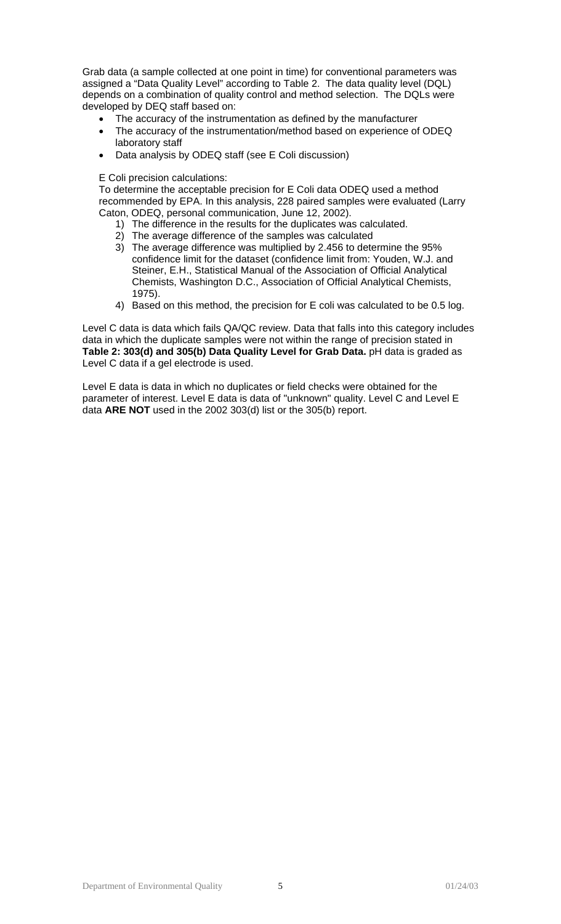Grab data (a sample collected at one point in time) for conventional parameters was assigned a "Data Quality Level" according to Table 2. The data quality level (DQL) depends on a combination of quality control and method selection. The DQLs were developed by DEQ staff based on:

- The accuracy of the instrumentation as defined by the manufacturer
- The accuracy of the instrumentation/method based on experience of ODEQ laboratory staff
- Data analysis by ODEQ staff (see E Coli discussion)

E Coli precision calculations:

To determine the acceptable precision for E Coli data ODEQ used a method recommended by EPA. In this analysis, 228 paired samples were evaluated (Larry Caton, ODEQ, personal communication, June 12, 2002).

- 1) The difference in the results for the duplicates was calculated.
- 2) The average difference of the samples was calculated
- 3) The average difference was multiplied by 2.456 to determine the 95% confidence limit for the dataset (confidence limit from: Youden, W.J. and Steiner, E.H., Statistical Manual of the Association of Official Analytical Chemists, Washington D.C., Association of Official Analytical Chemists, 1975).
- 4) Based on this method, the precision for E coli was calculated to be 0.5 log.

Level C data is data which fails QA/QC review. Data that falls into this category includes data in which the duplicate samples were not within the range of precision stated in **Table 2: 303(d) and 305(b) Data Quality Level for Grab Data.** pH data is graded as Level C data if a gel electrode is used.

Level E data is data in which no duplicates or field checks were obtained for the parameter of interest. Level E data is data of "unknown" quality. Level C and Level E data **ARE NOT** used in the 2002 303(d) list or the 305(b) report.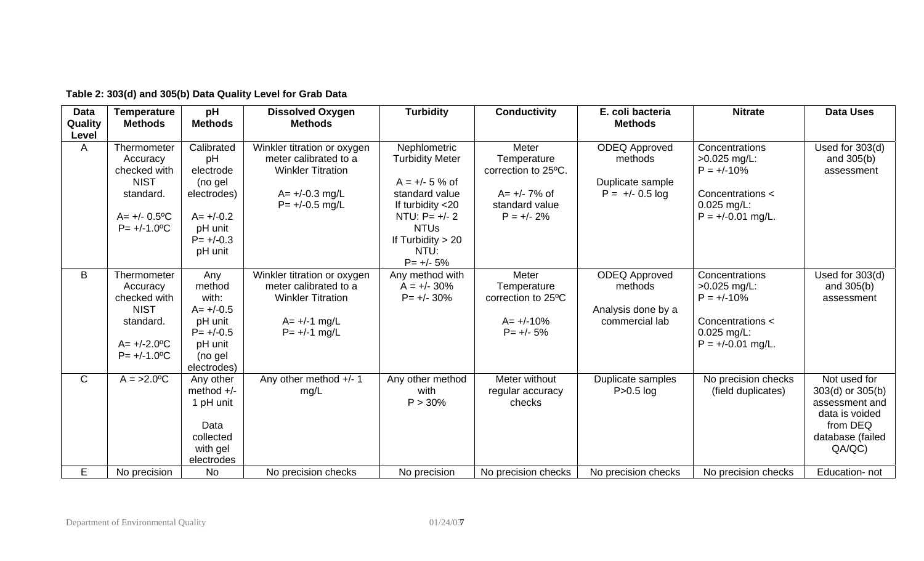| <b>Data</b><br>Quality | <b>Temperature</b><br><b>Methods</b>                                                                                               | pH<br><b>Methods</b>                                                                                          | <b>Dissolved Oxygen</b><br><b>Methods</b>                                                                                  | <b>Turbidity</b>                                                                                                                                                                   | <b>Conductivity</b>                                                                                | E. coli bacteria<br><b>Methods</b>                                       | <b>Nitrate</b>                                                                                               | <b>Data Uses</b>                                                                                               |
|------------------------|------------------------------------------------------------------------------------------------------------------------------------|---------------------------------------------------------------------------------------------------------------|----------------------------------------------------------------------------------------------------------------------------|------------------------------------------------------------------------------------------------------------------------------------------------------------------------------------|----------------------------------------------------------------------------------------------------|--------------------------------------------------------------------------|--------------------------------------------------------------------------------------------------------------|----------------------------------------------------------------------------------------------------------------|
| Level<br>A             | Thermometer<br>Accuracy<br>checked with<br><b>NIST</b><br>standard.<br>$A = +/- 0.5$ <sup>o</sup> C<br>$P = +/-1.0$ <sup>o</sup> C | Calibrated<br>pH<br>electrode<br>(no gel<br>electrodes)<br>$A = +/-0.2$<br>pH unit<br>$P = +/-0.3$<br>pH unit | Winkler titration or oxygen<br>meter calibrated to a<br><b>Winkler Titration</b><br>$A = +/-0.3$ mg/L<br>$P = +/-0.5$ mg/L | Nephlometric<br><b>Turbidity Meter</b><br>$A = +/- 5 %$ of<br>standard value<br>If turbidity <20<br>NTU: $P = +/- 2$<br><b>NTUs</b><br>If Turbidity $> 20$<br>NTU:<br>$P = +/- 5%$ | Meter<br>Temperature<br>correction to 25°C.<br>$A = +/- 7\%$ of<br>standard value<br>$P = +/- 2\%$ | <b>ODEQ Approved</b><br>methods<br>Duplicate sample<br>$P = +/- 0.5$ log | Concentrations<br>$>0.025$ mg/L:<br>$P = +/-10%$<br>Concentrations <<br>$0.025$ mg/L:<br>$P = +/-0.01$ mg/L. | Used for 303(d)<br>and 305(b)<br>assessment                                                                    |
| B                      | Thermometer<br>Accuracy<br>checked with<br><b>NIST</b><br>standard.<br>$A = +/-2.0$ <sup>o</sup> C<br>$P = +/-1.0$ °C              | Any<br>method<br>with:<br>$A = +/-0.5$<br>pH unit<br>$P = +/-0.5$<br>pH unit<br>(no gel<br>electrodes)        | Winkler titration or oxygen<br>meter calibrated to a<br><b>Winkler Titration</b><br>$A = +/-1$ mg/L<br>$P = +/-1$ mg/L     | Any method with<br>$A = +/- 30\%$<br>$P = +/- 30\%$                                                                                                                                | Meter<br>Temperature<br>correction to 25°C<br>$A = +/-10%$<br>$P = +/- 5%$                         | <b>ODEQ Approved</b><br>methods<br>Analysis done by a<br>commercial lab  | Concentrations<br>$>0.025$ mg/L:<br>$P = +/-10%$<br>Concentrations <<br>$0.025$ mg/L:<br>$P = +/-0.01$ mg/L. | Used for 303(d)<br>and $305(b)$<br>assessment                                                                  |
| $\mathsf{C}$           | $A = >2.0$ <sup>o</sup> C                                                                                                          | Any other<br>method $+/-$<br>1 pH unit<br>Data<br>collected<br>with gel<br>electrodes                         | Any other method +/- 1<br>mg/L                                                                                             | Any other method<br>with<br>P > 30%                                                                                                                                                | Meter without<br>regular accuracy<br>checks                                                        | Duplicate samples<br>$P > 0.5$ log                                       | No precision checks<br>(field duplicates)                                                                    | Not used for<br>303(d) or 305(b)<br>assessment and<br>data is voided<br>from DEQ<br>database (failed<br>QA/QC) |
| E.                     | No precision                                                                                                                       | No                                                                                                            | No precision checks                                                                                                        | No precision                                                                                                                                                                       | No precision checks                                                                                | No precision checks                                                      | No precision checks                                                                                          | Education-not                                                                                                  |

# **Table 2: 303(d) and 305(b) Data Quality Level for Grab Data**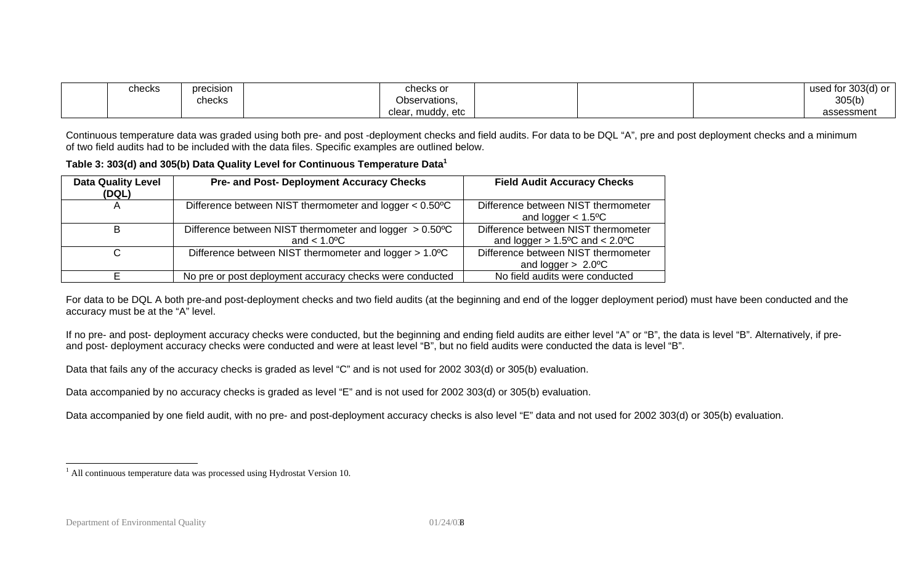<span id="page-7-0"></span>

| checks | precision | checks or             | .303(d)<br><b>!</b> used ເປ<br>--- |
|--------|-----------|-----------------------|------------------------------------|
|        | checks    | <b>Observations</b>   | 305(b)                             |
|        |           | clear<br>etc<br>muddv | `essment<br>$\sim$                 |

Continuous temperature data was graded using both pre- and post -deployment checks and field audits. For data to be DQL "A", pre and post deployment checks and a minimum of two field audits had to be included with the data files. Specific examples are outlined below.

#### **Table 3: 303(d) and 305(b) Data Quality Level for Continuous Temperature Data[1](#page-7-0)**

| <b>Data Quality Level</b><br>(DQL) | <b>Pre- and Post- Deployment Accuracy Checks</b>                                                     | <b>Field Audit Accuracy Checks</b>                                          |
|------------------------------------|------------------------------------------------------------------------------------------------------|-----------------------------------------------------------------------------|
|                                    | Difference between NIST thermometer and logger $< 0.50$ <sup>o</sup> C                               | Difference between NIST thermometer<br>and logger $< 1.5$ <sup>o</sup> C    |
| в                                  | Difference between NIST thermometer and logger $> 0.50$ <sup>o</sup> C<br>and $< 1.0$ <sup>o</sup> C | Difference between NIST thermometer<br>and logger $> 1.5$ °C and $< 2.0$ °C |
| С                                  | Difference between NIST thermometer and logger > 1.0°C                                               | Difference between NIST thermometer<br>and logger $> 2.0$ °C                |
|                                    | No pre or post deployment accuracy checks were conducted                                             | No field audits were conducted                                              |

For data to be DQL A both pre-and post-deployment checks and two field audits (at the beginning and end of the logger deployment period) must have been conducted and the accuracy must be at the "A" level.

If no pre- and post- deployment accuracy checks were conducted, but the beginning and ending field audits are either level "A" or "B", the data is level "B". Alternatively, if preand post- deployment accuracy checks were conducted and were at least level "B", but no field audits were conducted the data is level "B".

Data that fails any of the accuracy checks is graded as level "C" and is not used for 2002 303(d) or 305(b) evaluation.

Data accompanied by no accuracy checks is graded as level "E" and is not used for 2002 303(d) or 305(b) evaluation.

Data accompanied by one field audit, with no pre- and post-deployment accuracy checks is also level "E" data and not used for 2002 303(d) or 305(b) evaluation.

<sup>&</sup>lt;sup>1</sup> All continuous temperature data was processed using Hydrostat Version 10.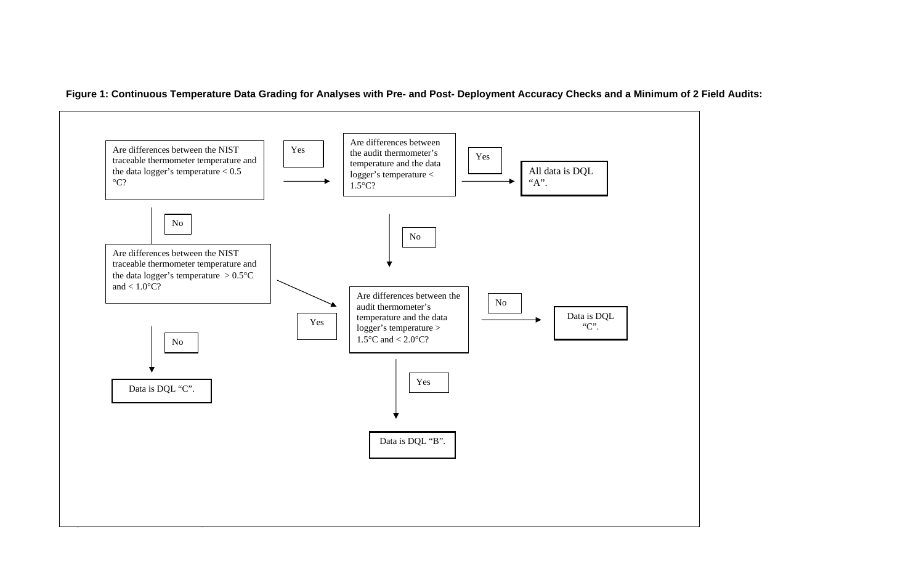

**Figure 1: Continuous Temperature Data Grading for Analyses with Pre- and Post- Deployment Accuracy Checks and a Minimum of 2 Field Audits:**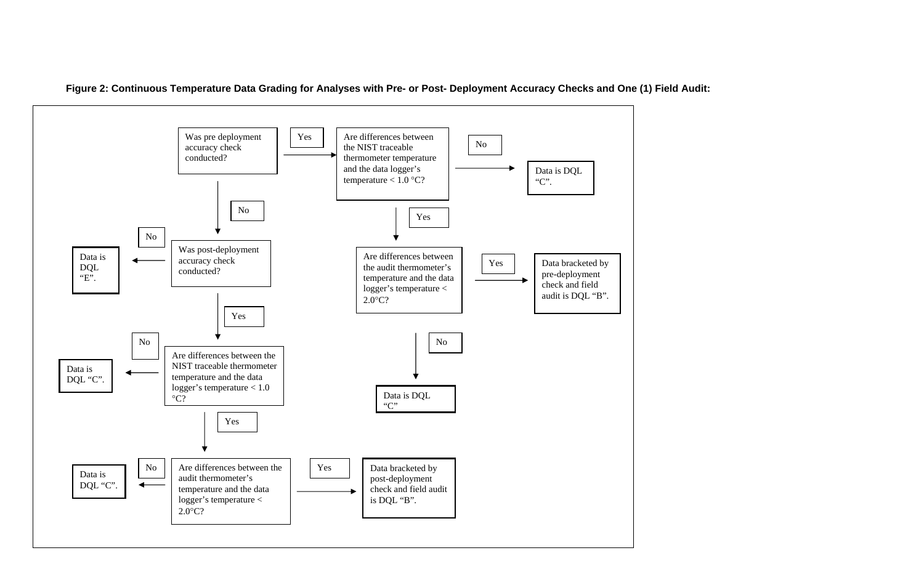

**Figure 2: Continuous Temperature Data Grading for Analyses with Pre- or Post- Deployment Accuracy Checks and One (1) Field Audit:**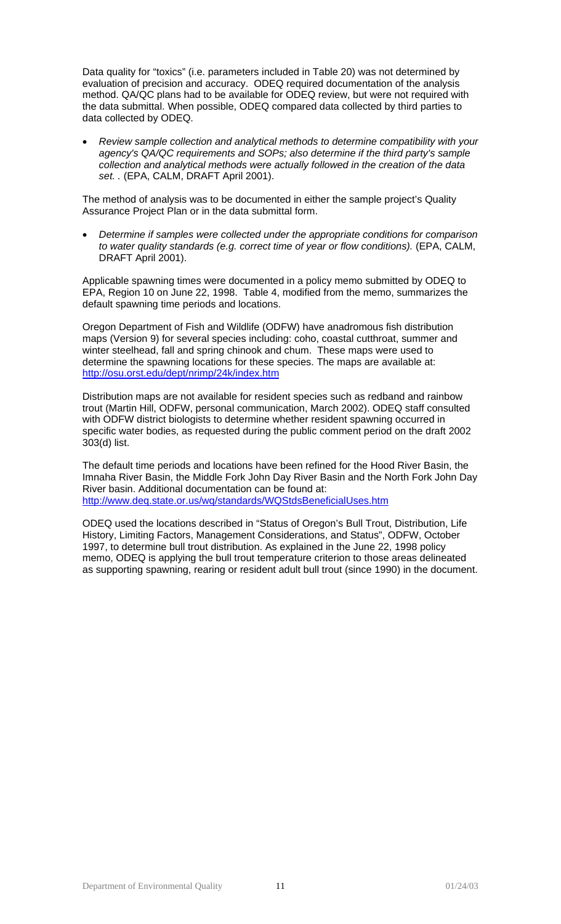Data quality for "toxics" (i.e. parameters included in Table 20) was not determined by evaluation of precision and accuracy. ODEQ required documentation of the analysis method. QA/QC plans had to be available for ODEQ review, but were not required with the data submittal. When possible, ODEQ compared data collected by third parties to data collected by ODEQ.

• *Review sample collection and analytical methods to determine compatibility with your agency's QA/QC requirements and SOPs; also determine if the third party's sample collection and analytical methods were actually followed in the creation of the data set. .* (EPA, CALM, DRAFT April 2001).

The method of analysis was to be documented in either the sample project's Quality Assurance Project Plan or in the data submittal form.

• *Determine if samples were collected under the appropriate conditions for comparison to water quality standards (e.g. correct time of year or flow conditions).* (EPA, CALM, DRAFT April 2001).

Applicable spawning times were documented in a policy memo submitted by ODEQ to EPA, Region 10 on June 22, 1998. Table 4, modified from the memo, summarizes the default spawning time periods and locations.

Oregon Department of Fish and Wildlife (ODFW) have anadromous fish distribution maps (Version 9) for several species including: coho, coastal cutthroat, summer and winter steelhead, fall and spring chinook and chum. These maps were used to determine the spawning locations for these species. The maps are available at: <http://osu.orst.edu/dept/nrimp/24k/index.htm>

Distribution maps are not available for resident species such as redband and rainbow trout (Martin Hill, ODFW, personal communication, March 2002). ODEQ staff consulted with ODFW district biologists to determine whether resident spawning occurred in specific water bodies, as requested during the public comment period on the draft 2002 303(d) list.

The default time periods and locations have been refined for the Hood River Basin, the Imnaha River Basin, the Middle Fork John Day River Basin and the North Fork John Day River basin. Additional documentation can be found at: <http://www.deq.state.or.us/wq/standards/WQStdsBeneficialUses.htm>

ODEQ used the locations described in "Status of Oregon's Bull Trout, Distribution, Life History, Limiting Factors, Management Considerations, and Status", ODFW, October 1997, to determine bull trout distribution. As explained in the June 22, 1998 policy memo, ODEQ is applying the bull trout temperature criterion to those areas delineated as supporting spawning, rearing or resident adult bull trout (since 1990) in the document.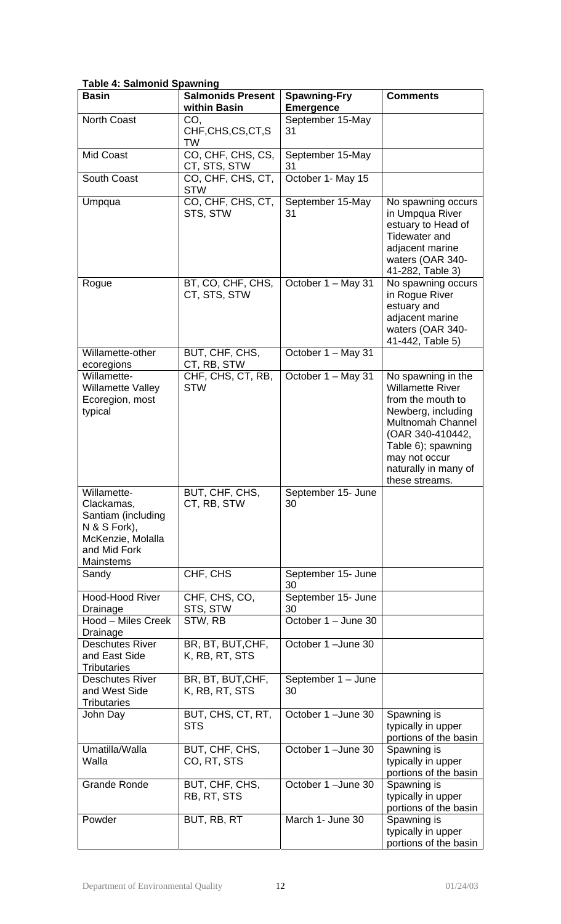|  | <b>Table 4: Salmonid Spawning</b> |  |
|--|-----------------------------------|--|
|  |                                   |  |

| <b>Basin</b>                                                                                                      | <b>Salmonids Present</b><br>within Basin | <b>Spawning-Fry</b>                  | <b>Comments</b>                                                                                                                                                                                                           |
|-------------------------------------------------------------------------------------------------------------------|------------------------------------------|--------------------------------------|---------------------------------------------------------------------------------------------------------------------------------------------------------------------------------------------------------------------------|
| <b>North Coast</b>                                                                                                | CO,                                      | <b>Emergence</b><br>September 15-May |                                                                                                                                                                                                                           |
|                                                                                                                   | CHF, CHS, CS, CT, S<br>TW                | 31                                   |                                                                                                                                                                                                                           |
| <b>Mid Coast</b>                                                                                                  | CO, CHF, CHS, CS,<br>CT, STS, STW        | September 15-May<br>31               |                                                                                                                                                                                                                           |
| South Coast                                                                                                       | CO, CHF, CHS, CT,<br><b>STW</b>          | October 1- May 15                    |                                                                                                                                                                                                                           |
| Umpqua                                                                                                            | CO, CHF, CHS, CT,<br>STS, STW            | September 15-May<br>31               | No spawning occurs<br>in Umpqua River<br>estuary to Head of<br><b>Tidewater and</b><br>adjacent marine<br>waters (OAR 340-<br>41-282, Table 3)                                                                            |
| Rogue                                                                                                             | BT, CO, CHF, CHS,<br>CT, STS, STW        | October 1 – May 31                   | No spawning occurs<br>in Rogue River<br>estuary and<br>adjacent marine<br>waters (OAR 340-<br>41-442, Table 5)                                                                                                            |
| Willamette-other<br>ecoregions                                                                                    | BUT, CHF, CHS,<br>CT, RB, STW            | October 1 - May 31                   |                                                                                                                                                                                                                           |
| Willamette-<br><b>Willamette Valley</b><br>Ecoregion, most<br>typical                                             | CHF, CHS, CT, RB,<br><b>STW</b>          | October 1 - May 31                   | No spawning in the<br><b>Willamette River</b><br>from the mouth to<br>Newberg, including<br><b>Multnomah Channel</b><br>(OAR 340-410442,<br>Table 6); spawning<br>may not occur<br>naturally in many of<br>these streams. |
| Willamette-<br>Clackamas,<br>Santiam (including<br>N & S Fork),<br>McKenzie, Molalla<br>and Mid Fork<br>Mainstems | BUT, CHF, CHS,<br>CT, RB, STW            | September 15- June<br>30             |                                                                                                                                                                                                                           |
| Sandy                                                                                                             | CHF, CHS                                 | September 15- June<br>30             |                                                                                                                                                                                                                           |
| <b>Hood-Hood River</b><br>Drainage                                                                                | CHF, CHS, CO,<br>STS, STW                | September 15- June<br>30             |                                                                                                                                                                                                                           |
| Hood - Miles Creek<br>Drainage                                                                                    | STW, RB                                  | October 1 - June 30                  |                                                                                                                                                                                                                           |
| <b>Deschutes River</b><br>and East Side<br><b>Tributaries</b>                                                     | BR, BT, BUT, CHF,<br>K, RB, RT, STS      | October 1 - June 30                  |                                                                                                                                                                                                                           |
| <b>Deschutes River</b><br>and West Side<br><b>Tributaries</b>                                                     | BR, BT, BUT, CHF,<br>K, RB, RT, STS      | September 1 - June<br>30             |                                                                                                                                                                                                                           |
| John Day                                                                                                          | BUT, CHS, CT, RT,<br><b>STS</b>          | October 1 - June 30                  | Spawning is<br>typically in upper<br>portions of the basin                                                                                                                                                                |
| Umatilla/Walla<br>Walla                                                                                           | BUT, CHF, CHS,<br>CO, RT, STS            | October 1 - June 30                  | Spawning is<br>typically in upper<br>portions of the basin                                                                                                                                                                |
| <b>Grande Ronde</b>                                                                                               | BUT, CHF, CHS,<br>RB, RT, STS            | October 1-June 30                    | Spawning is<br>typically in upper<br>portions of the basin                                                                                                                                                                |
| Powder                                                                                                            | BUT, RB, RT                              | March 1- June 30                     | Spawning is<br>typically in upper<br>portions of the basin                                                                                                                                                                |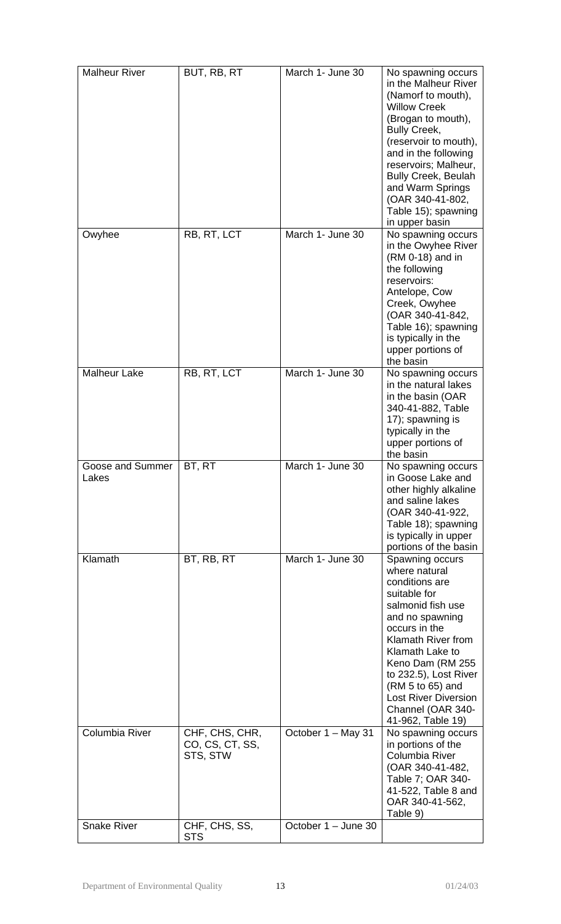| <b>Malheur River</b>      | BUT, RB, RT                                   | March 1- June 30    | No spawning occurs<br>in the Malheur River<br>(Namorf to mouth),<br><b>Willow Creek</b><br>(Brogan to mouth),<br><b>Bully Creek,</b><br>(reservoir to mouth),<br>and in the following<br>reservoirs; Malheur,<br><b>Bully Creek, Beulah</b><br>and Warm Springs<br>(OAR 340-41-802,<br>Table 15); spawning<br>in upper basin |
|---------------------------|-----------------------------------------------|---------------------|------------------------------------------------------------------------------------------------------------------------------------------------------------------------------------------------------------------------------------------------------------------------------------------------------------------------------|
| Owyhee                    | RB, RT, LCT                                   | March 1- June 30    | No spawning occurs<br>in the Owyhee River<br>(RM 0-18) and in<br>the following<br>reservoirs:<br>Antelope, Cow<br>Creek, Owyhee<br>(OAR 340-41-842,<br>Table 16); spawning<br>is typically in the<br>upper portions of<br>the basin                                                                                          |
| <b>Malheur Lake</b>       | RB, RT, LCT                                   | March 1- June 30    | No spawning occurs<br>in the natural lakes<br>in the basin (OAR<br>340-41-882, Table<br>17); spawning is<br>typically in the<br>upper portions of<br>the basin                                                                                                                                                               |
| Goose and Summer<br>Lakes | BT, RT                                        | March 1- June 30    | No spawning occurs<br>in Goose Lake and<br>other highly alkaline<br>and saline lakes<br>(OAR 340-41-922,<br>Table 18); spawning<br>is typically in upper<br>portions of the basin                                                                                                                                            |
| Klamath                   | BT, RB, RT                                    | March 1- June 30    | Spawning occurs<br>where natural<br>conditions are<br>suitable for<br>salmonid fish use<br>and no spawning<br>occurs in the<br>Klamath River from<br>Klamath Lake to<br>Keno Dam (RM 255<br>to 232.5), Lost River<br>(RM 5 to 65) and<br><b>Lost River Diversion</b><br>Channel (OAR 340-<br>41-962, Table 19)               |
| <b>Columbia River</b>     | CHF, CHS, CHR,<br>CO, CS, CT, SS,<br>STS, STW | October 1 - May 31  | No spawning occurs<br>in portions of the<br>Columbia River<br>(OAR 340-41-482,<br>Table 7; OAR 340-<br>41-522, Table 8 and<br>OAR 340-41-562,<br>Table 9)                                                                                                                                                                    |
| <b>Snake River</b>        | CHF, CHS, SS,<br><b>STS</b>                   | October 1 - June 30 |                                                                                                                                                                                                                                                                                                                              |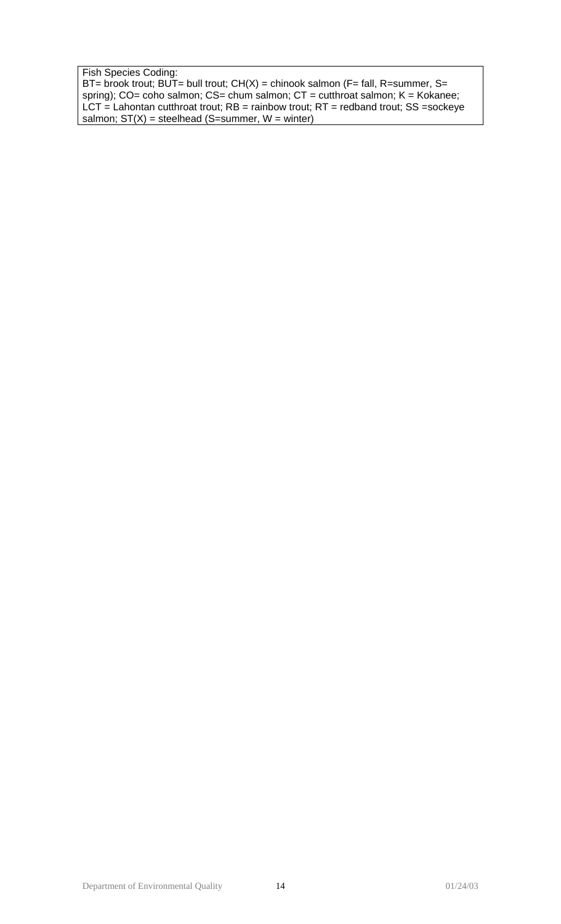Fish Species Coding:

BT= brook trout; BUT= bull trout; CH(X) = chinook salmon (F= fall, R=summer, S= spring); CO= coho salmon; CS= chum salmon; CT = cutthroat salmon; K = Kokanee; LCT = Lahontan cutthroat trout; RB = rainbow trout; RT = redband trout; SS =sockeye salmon;  $ST(X)$  = steelhead (S=summer,  $W =$  winter)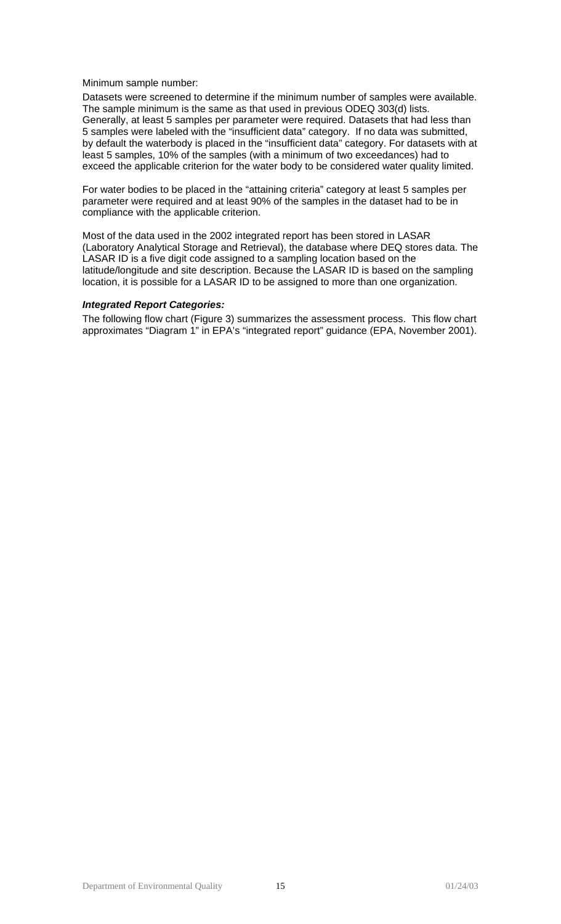#### Minimum sample number:

Datasets were screened to determine if the minimum number of samples were available. The sample minimum is the same as that used in previous ODEQ 303(d) lists. Generally, at least 5 samples per parameter were required. Datasets that had less than 5 samples were labeled with the "insufficient data" category. If no data was submitted, by default the waterbody is placed in the "insufficient data" category. For datasets with at least 5 samples, 10% of the samples (with a minimum of two exceedances) had to exceed the applicable criterion for the water body to be considered water quality limited.

For water bodies to be placed in the "attaining criteria" category at least 5 samples per parameter were required and at least 90% of the samples in the dataset had to be in compliance with the applicable criterion.

Most of the data used in the 2002 integrated report has been stored in LASAR (Laboratory Analytical Storage and Retrieval), the database where DEQ stores data. The LASAR ID is a five digit code assigned to a sampling location based on the latitude/longitude and site description. Because the LASAR ID is based on the sampling location, it is possible for a LASAR ID to be assigned to more than one organization.

#### *Integrated Report Categories:*

The following flow chart (Figure 3) summarizes the assessment process. This flow chart approximates "Diagram 1" in EPA's "integrated report" guidance (EPA, November 2001).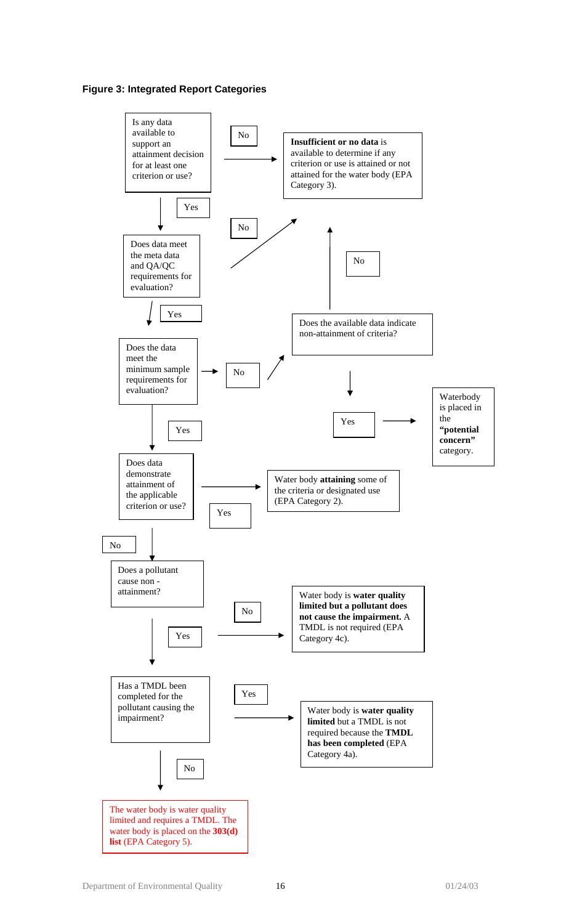## **Figure 3: Integrated Report Categories**

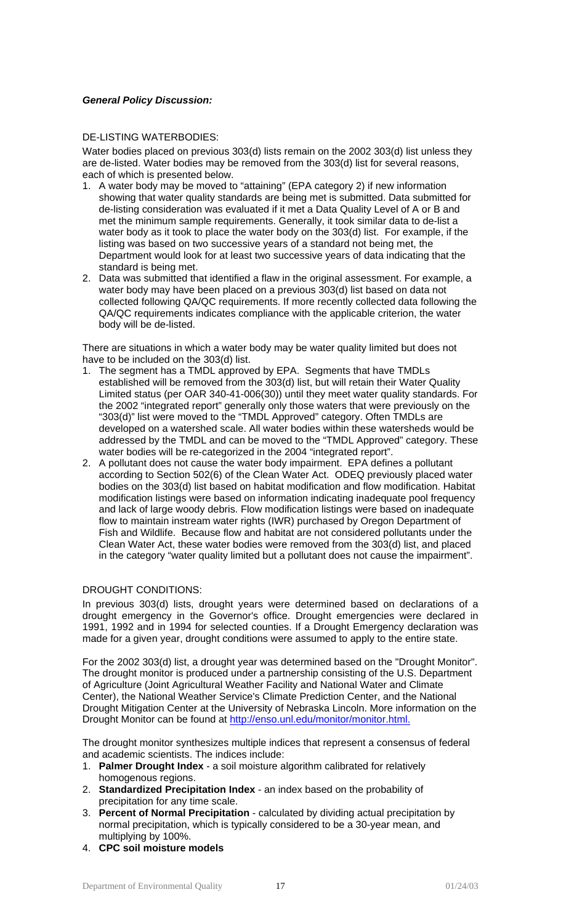## *General Policy Discussion:*

### DE-LISTING WATERBODIES:

Water bodies placed on previous 303(d) lists remain on the 2002 303(d) list unless they are de-listed. Water bodies may be removed from the 303(d) list for several reasons, each of which is presented below.

- 1. A water body may be moved to "attaining" (EPA category 2) if new information showing that water quality standards are being met is submitted. Data submitted for de-listing consideration was evaluated if it met a Data Quality Level of A or B and met the minimum sample requirements. Generally, it took similar data to de-list a water body as it took to place the water body on the 303(d) list. For example, if the listing was based on two successive years of a standard not being met, the Department would look for at least two successive years of data indicating that the standard is being met.
- 2. Data was submitted that identified a flaw in the original assessment. For example, a water body may have been placed on a previous 303(d) list based on data not collected following QA/QC requirements. If more recently collected data following the QA/QC requirements indicates compliance with the applicable criterion, the water body will be de-listed.

There are situations in which a water body may be water quality limited but does not have to be included on the 303(d) list.

- 1. The segment has a TMDL approved by EPA. Segments that have TMDLs established will be removed from the 303(d) list, but will retain their Water Quality Limited status (per OAR 340-41-006(30)) until they meet water quality standards. For the 2002 "integrated report" generally only those waters that were previously on the "303(d)" list were moved to the "TMDL Approved" category. Often TMDLs are developed on a watershed scale. All water bodies within these watersheds would be addressed by the TMDL and can be moved to the "TMDL Approved" category. These water bodies will be re-categorized in the 2004 "integrated report".
- 2. A pollutant does not cause the water body impairment. EPA defines a pollutant according to Section 502(6) of the Clean Water Act. ODEQ previously placed water bodies on the 303(d) list based on habitat modification and flow modification. Habitat modification listings were based on information indicating inadequate pool frequency and lack of large woody debris. Flow modification listings were based on inadequate flow to maintain instream water rights (IWR) purchased by Oregon Department of Fish and Wildlife. Because flow and habitat are not considered pollutants under the Clean Water Act, these water bodies were removed from the 303(d) list, and placed in the category "water quality limited but a pollutant does not cause the impairment".

## DROUGHT CONDITIONS:

In previous 303(d) lists, drought years were determined based on declarations of a drought emergency in the Governor's office. Drought emergencies were declared in 1991, 1992 and in 1994 for selected counties. If a Drought Emergency declaration was made for a given year, drought conditions were assumed to apply to the entire state.

For the 2002 303(d) list, a drought year was determined based on the "Drought Monitor". The drought monitor is produced under a partnership consisting of the U.S. Department of Agriculture (Joint Agricultural Weather Facility and National Water and Climate Center), the National Weather Service's Climate Prediction Center, and the National Drought Mitigation Center at the University of Nebraska Lincoln. More information on the Drought Monitor can be found at [http://enso.unl.edu/monitor/monitor.html.](http://enso.unl.edu/monitor/monitor.html)

The drought monitor synthesizes multiple indices that represent a consensus of federal and academic scientists. The indices include:

- 1. **Palmer Drought Index** a soil moisture algorithm calibrated for relatively homogenous regions.
- 2. **Standardized Precipitation Index** an index based on the probability of precipitation for any time scale.
- 3. **Percent of Normal Precipitation** calculated by dividing actual precipitation by normal precipitation, which is typically considered to be a 30-year mean, and multiplying by 100%.
- 4. **CPC soil moisture models**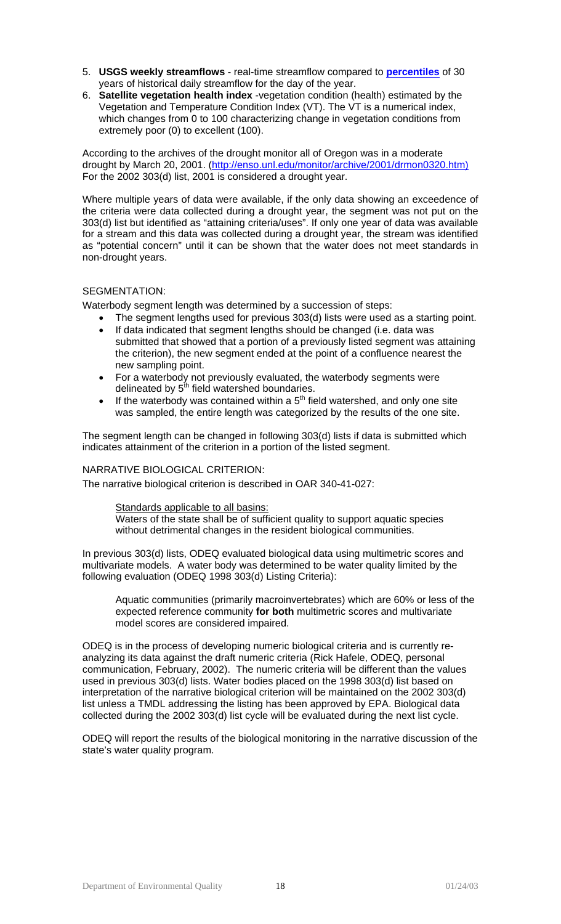- 5. **USGS weekly streamflows** real-time streamflow compared to **[percentiles](http://water.usgs.gov/waterwatch/ptile.html)** of 30 years of historical daily streamflow for the day of the year.
- 6. **Satellite vegetation health index** -vegetation condition (health) estimated by the Vegetation and Temperature Condition Index (VT). The VT is a numerical index, which changes from 0 to 100 characterizing change in vegetation conditions from extremely poor (0) to excellent (100).

According to the archives of the drought monitor all of Oregon was in a moderate drought by March 20, 2001. [\(http://enso.unl.edu/monitor/archive/2001/drmon0320.htm\)](http://enso.unl.edu/monitor/archive/2001/drmon0320.htm)  For the 2002 303(d) list, 2001 is considered a drought year.

Where multiple years of data were available, if the only data showing an exceedence of the criteria were data collected during a drought year, the segment was not put on the 303(d) list but identified as "attaining criteria/uses". If only one year of data was available for a stream and this data was collected during a drought year, the stream was identified as "potential concern" until it can be shown that the water does not meet standards in non-drought years.

## SEGMENTATION:

Waterbody segment length was determined by a succession of steps:

- The segment lengths used for previous 303(d) lists were used as a starting point.
	- If data indicated that segment lengths should be changed (i.e. data was submitted that showed that a portion of a previously listed segment was attaining the criterion), the new segment ended at the point of a confluence nearest the new sampling point.
	- For a waterbody not previously evaluated, the waterbody segments were delineated by  $5^{\text{th}}$  field watershed boundaries.
	- If the waterbody was contained within a  $5<sup>th</sup>$  field watershed, and only one site was sampled, the entire length was categorized by the results of the one site.

The segment length can be changed in following 303(d) lists if data is submitted which indicates attainment of the criterion in a portion of the listed segment.

## NARRATIVE BIOLOGICAL CRITERION:

The narrative biological criterion is described in OAR 340-41-027:

#### Standards applicable to all basins:

Waters of the state shall be of sufficient quality to support aquatic species without detrimental changes in the resident biological communities.

In previous 303(d) lists, ODEQ evaluated biological data using multimetric scores and multivariate models. A water body was determined to be water quality limited by the following evaluation (ODEQ 1998 303(d) Listing Criteria):

Aquatic communities (primarily macroinvertebrates) which are 60% or less of the expected reference community **for both** multimetric scores and multivariate model scores are considered impaired.

ODEQ is in the process of developing numeric biological criteria and is currently reanalyzing its data against the draft numeric criteria (Rick Hafele, ODEQ, personal communication, February, 2002). The numeric criteria will be different than the values used in previous 303(d) lists. Water bodies placed on the 1998 303(d) list based on interpretation of the narrative biological criterion will be maintained on the 2002 303(d) list unless a TMDL addressing the listing has been approved by EPA. Biological data collected during the 2002 303(d) list cycle will be evaluated during the next list cycle.

ODEQ will report the results of the biological monitoring in the narrative discussion of the state's water quality program.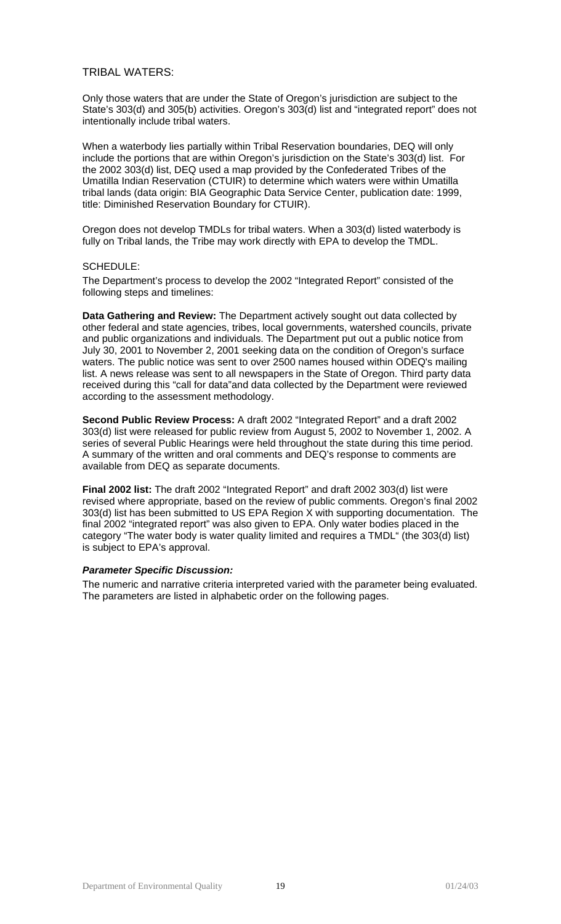## TRIBAL WATERS:

Only those waters that are under the State of Oregon's jurisdiction are subject to the State's 303(d) and 305(b) activities. Oregon's 303(d) list and "integrated report" does not intentionally include tribal waters.

When a waterbody lies partially within Tribal Reservation boundaries, DEQ will only include the portions that are within Oregon's jurisdiction on the State's 303(d) list. For the 2002 303(d) list, DEQ used a map provided by the Confederated Tribes of the Umatilla Indian Reservation (CTUIR) to determine which waters were within Umatilla tribal lands (data origin: BIA Geographic Data Service Center, publication date: 1999, title: Diminished Reservation Boundary for CTUIR).

Oregon does not develop TMDLs for tribal waters. When a 303(d) listed waterbody is fully on Tribal lands, the Tribe may work directly with EPA to develop the TMDL.

### SCHEDULE:

The Department's process to develop the 2002 "Integrated Report" consisted of the following steps and timelines:

**Data Gathering and Review:** The Department actively sought out data collected by other federal and state agencies, tribes, local governments, watershed councils, private and public organizations and individuals. The Department put out a public notice from July 30, 2001 to November 2, 2001 seeking data on the condition of Oregon's surface waters. The public notice was sent to over 2500 names housed within ODEQ's mailing list. A news release was sent to all newspapers in the State of Oregon. Third party data received during this "call for data"and data collected by the Department were reviewed according to the assessment methodology.

**Second Public Review Process:** A draft 2002 "Integrated Report" and a draft 2002 303(d) list were released for public review from August 5, 2002 to November 1, 2002. A series of several Public Hearings were held throughout the state during this time period. A summary of the written and oral comments and DEQ's response to comments are available from DEQ as separate documents.

**Final 2002 list:** The draft 2002 "Integrated Report" and draft 2002 303(d) list were revised where appropriate, based on the review of public comments. Oregon's final 2002 303(d) list has been submitted to US EPA Region X with supporting documentation. The final 2002 "integrated report" was also given to EPA. Only water bodies placed in the category "The water body is water quality limited and requires a TMDL" (the 303(d) list) is subject to EPA's approval.

#### *Parameter Specific Discussion:*

The numeric and narrative criteria interpreted varied with the parameter being evaluated. The parameters are listed in alphabetic order on the following pages.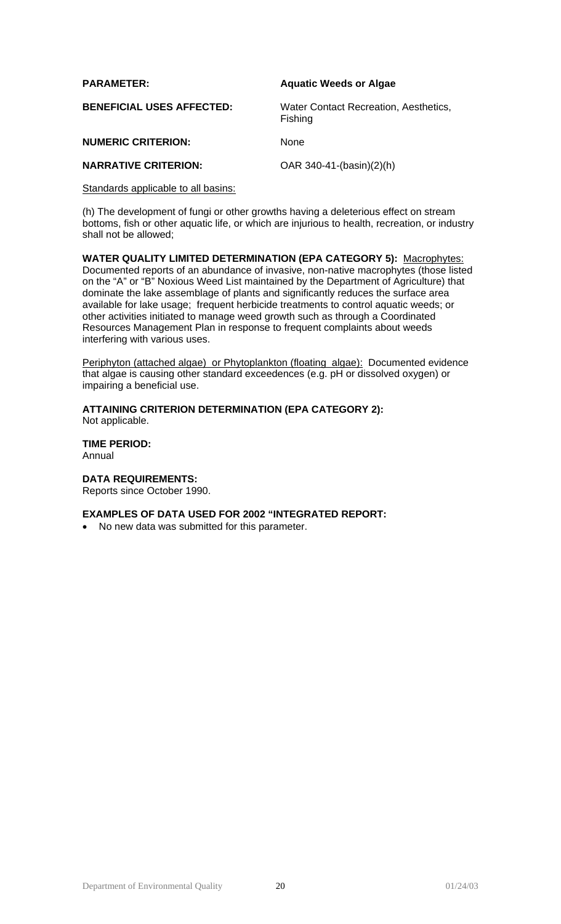| <b>PARAMETER:</b>                | <b>Aquatic Weeds or Algae</b>                    |
|----------------------------------|--------------------------------------------------|
| <b>BENEFICIAL USES AFFECTED:</b> | Water Contact Recreation, Aesthetics,<br>Fishing |
| <b>NUMERIC CRITERION:</b>        | <b>None</b>                                      |
| <b>NARRATIVE CRITERION:</b>      | OAR $340-41-(basin)(2)(h)$                       |

Standards applicable to all basins:

(h) The development of fungi or other growths having a deleterious effect on stream bottoms, fish or other aquatic life, or which are injurious to health, recreation, or industry shall not be allowed;

**WATER QUALITY LIMITED DETERMINATION (EPA CATEGORY 5):** Macrophytes: Documented reports of an abundance of invasive, non-native macrophytes (those listed on the "A" or "B" Noxious Weed List maintained by the Department of Agriculture) that dominate the lake assemblage of plants and significantly reduces the surface area available for lake usage; frequent herbicide treatments to control aquatic weeds; or other activities initiated to manage weed growth such as through a Coordinated Resources Management Plan in response to frequent complaints about weeds interfering with various uses.

Periphyton (attached algae) or Phytoplankton (floating algae): Documented evidence that algae is causing other standard exceedences (e.g. pH or dissolved oxygen) or impairing a beneficial use.

**ATTAINING CRITERION DETERMINATION (EPA CATEGORY 2):** Not applicable.

**TIME PERIOD:** Annual

**DATA REQUIREMENTS:**

Reports since October 1990.

## **EXAMPLES OF DATA USED FOR 2002 "INTEGRATED REPORT:**

• No new data was submitted for this parameter.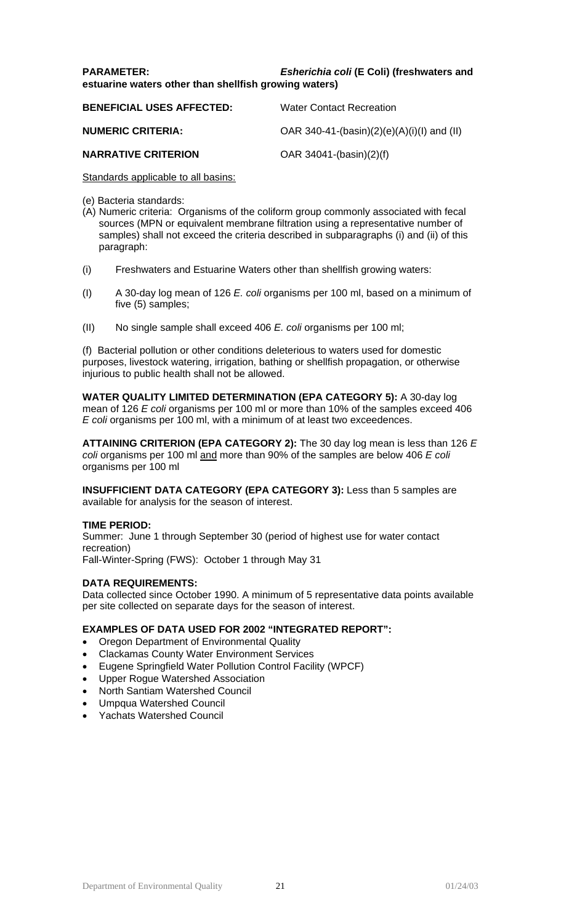## **PARAMETER:** *Esherichia coli* **(E Coli) (freshwaters and estuarine waters other than shellfish growing waters)**

| <b>BENEFICIAL USES AFFECTED:</b> | <b>Water Contact Recreation</b>               |
|----------------------------------|-----------------------------------------------|
| <b>NUMERIC CRITERIA:</b>         | OAR 340-41-(basin) $(2)(e)(A)(i)(I)$ and (II) |
| <b>NARRATIVE CRITERION</b>       | $OAR$ 34041-(basin)(2)(f)                     |

Standards applicable to all basins:

- (e) Bacteria standards:
- (A) Numeric criteria: Organisms of the coliform group commonly associated with fecal sources (MPN or equivalent membrane filtration using a representative number of samples) shall not exceed the criteria described in subparagraphs (i) and (ii) of this paragraph:
- (i) Freshwaters and Estuarine Waters other than shellfish growing waters:
- (I) A 30-day log mean of 126 *E. coli* organisms per 100 ml, based on a minimum of five (5) samples;
- (II) No single sample shall exceed 406 *E. coli* organisms per 100 ml;

(f) Bacterial pollution or other conditions deleterious to waters used for domestic purposes, livestock watering, irrigation, bathing or shellfish propagation, or otherwise injurious to public health shall not be allowed.

**WATER QUALITY LIMITED DETERMINATION (EPA CATEGORY 5):** A 30-day log mean of 126 *E coli* organisms per 100 ml or more than 10% of the samples exceed 406 *E coli* organisms per 100 ml, with a minimum of at least two exceedences.

**ATTAINING CRITERION (EPA CATEGORY 2):** The 30 day log mean is less than 126 *E coli* organisms per 100 ml and more than 90% of the samples are below 406 *E coli* organisms per 100 ml

**INSUFFICIENT DATA CATEGORY (EPA CATEGORY 3):** Less than 5 samples are available for analysis for the season of interest.

## **TIME PERIOD:**

Summer: June 1 through September 30 (period of highest use for water contact recreation) Fall-Winter-Spring (FWS): October 1 through May 31

## **DATA REQUIREMENTS:**

Data collected since October 1990. A minimum of 5 representative data points available per site collected on separate days for the season of interest.

## **EXAMPLES OF DATA USED FOR 2002 "INTEGRATED REPORT":**

- Oregon Department of Environmental Quality
- Clackamas County Water Environment Services
- Eugene Springfield Water Pollution Control Facility (WPCF)
- Upper Rogue Watershed Association
- North Santiam Watershed Council
- Umpqua Watershed Council
- Yachats Watershed Council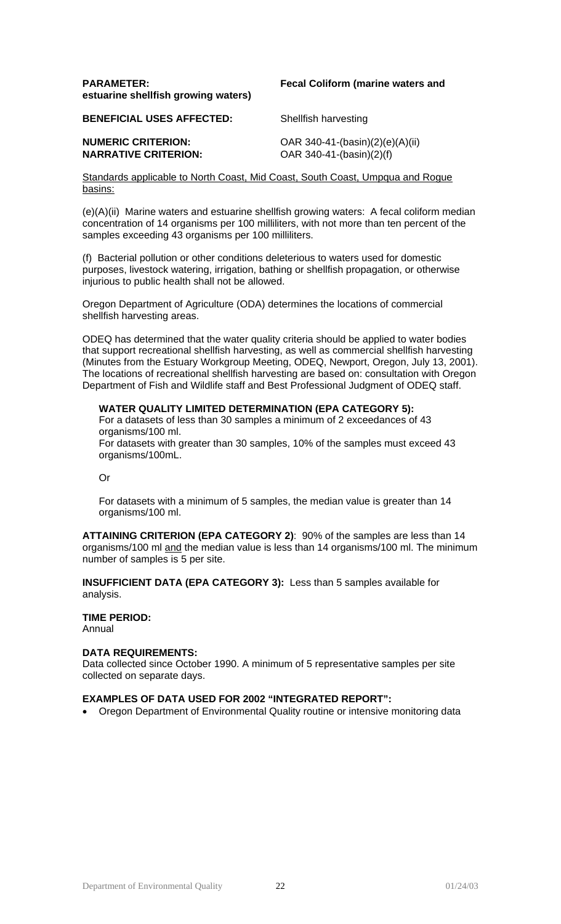### **PARAMETER: Fecal Coliform (marine waters and estuarine shellfish growing waters)**

**BENEFICIAL USES AFFECTED:** Shellfish harvesting

**NARRATIVE CRITERION:** OAR 340-41-(basin)(2)(f)

**NUMERIC CRITERION:** OAR 340-41-(basin)(2)(e)(A)(ii)

Standards applicable to North Coast, Mid Coast, South Coast, Umpqua and Rogue basins:

(e)(A)(ii) Marine waters and estuarine shellfish growing waters: A fecal coliform median concentration of 14 organisms per 100 milliliters, with not more than ten percent of the samples exceeding 43 organisms per 100 milliliters.

(f) Bacterial pollution or other conditions deleterious to waters used for domestic purposes, livestock watering, irrigation, bathing or shellfish propagation, or otherwise injurious to public health shall not be allowed.

Oregon Department of Agriculture (ODA) determines the locations of commercial shellfish harvesting areas.

ODEQ has determined that the water quality criteria should be applied to water bodies that support recreational shellfish harvesting, as well as commercial shellfish harvesting (Minutes from the Estuary Workgroup Meeting, ODEQ, Newport, Oregon, July 13, 2001). The locations of recreational shellfish harvesting are based on: consultation with Oregon Department of Fish and Wildlife staff and Best Professional Judgment of ODEQ staff.

## **WATER QUALITY LIMITED DETERMINATION (EPA CATEGORY 5):**

For a datasets of less than 30 samples a minimum of 2 exceedances of 43 organisms/100 ml. For datasets with greater than 30 samples, 10% of the samples must exceed 43 organisms/100mL.

Or

For datasets with a minimum of 5 samples, the median value is greater than 14 organisms/100 ml.

**ATTAINING CRITERION (EPA CATEGORY 2)**: 90% of the samples are less than 14 organisms/100 ml and the median value is less than 14 organisms/100 ml. The minimum number of samples is 5 per site.

**INSUFFICIENT DATA (EPA CATEGORY 3):** Less than 5 samples available for analysis.

# **TIME PERIOD:**

Annual

## **DATA REQUIREMENTS:**

Data collected since October 1990. A minimum of 5 representative samples per site collected on separate days.

#### **EXAMPLES OF DATA USED FOR 2002 "INTEGRATED REPORT":**

• Oregon Department of Environmental Quality routine or intensive monitoring data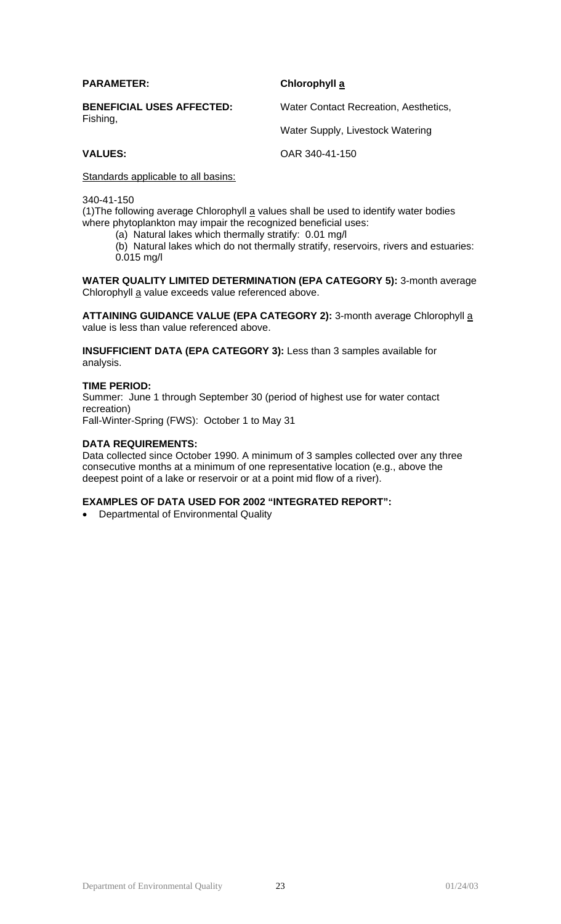| <b>PARAMETER:</b>                            | Chlorophyll a                         |
|----------------------------------------------|---------------------------------------|
| <b>BENEFICIAL USES AFFECTED:</b><br>Fishing, | Water Contact Recreation, Aesthetics, |
|                                              | Water Supply, Livestock Watering      |
| <b>VALUES:</b>                               | OAR 340-41-150                        |

Standards applicable to all basins:

340-41-150

(1) The following average Chlorophyll  $\underline{a}$  values shall be used to identify water bodies where phytoplankton may impair the recognized beneficial uses:

(a) Natural lakes which thermally stratify: 0.01 mg/l

(b) Natural lakes which do not thermally stratify, reservoirs, rivers and estuaries: 0.015 mg/l

**WATER QUALITY LIMITED DETERMINATION (EPA CATEGORY 5):** 3-month average Chlorophyll a value exceeds value referenced above.

ATTAINING GUIDANCE VALUE (EPA CATEGORY 2): 3-month average Chlorophyll a value is less than value referenced above.

**INSUFFICIENT DATA (EPA CATEGORY 3):** Less than 3 samples available for analysis.

#### **TIME PERIOD:**

Summer: June 1 through September 30 (period of highest use for water contact recreation)

Fall-Winter-Spring (FWS): October 1 to May 31

#### **DATA REQUIREMENTS:**

Data collected since October 1990. A minimum of 3 samples collected over any three consecutive months at a minimum of one representative location (e.g., above the deepest point of a lake or reservoir or at a point mid flow of a river).

#### **EXAMPLES OF DATA USED FOR 2002 "INTEGRATED REPORT":**

• Departmental of Environmental Quality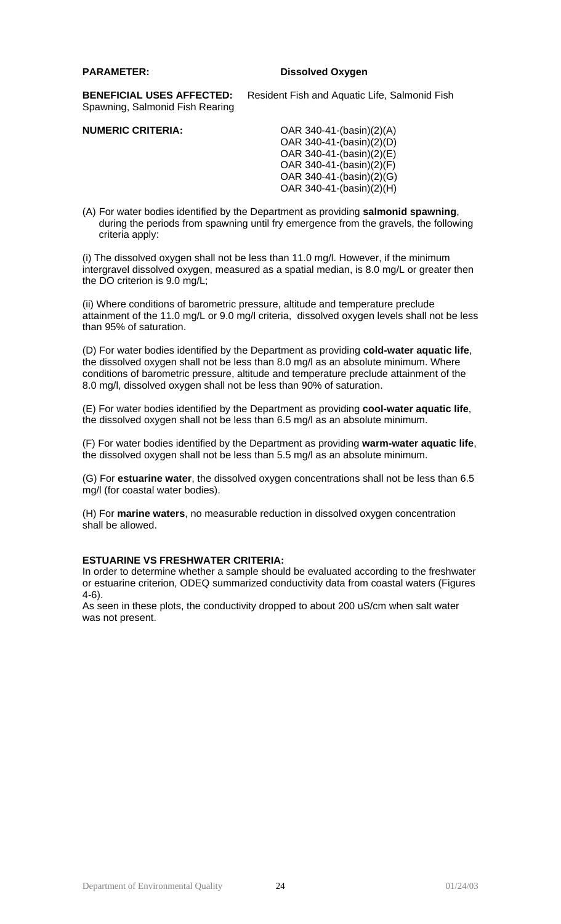### **PARAMETER: Dissolved Oxygen**

**BENEFICIAL USES AFFECTED:** Resident Fish and Aquatic Life, Salmonid Fish Spawning, Salmonid Fish Rearing

**NUMERIC CRITERIA:** OAR 340-41-(basin)(2)(A) OAR 340-41-(basin)(2)(D) OAR 340-41-(basin)(2)(E) OAR 340-41- $(basin)(2)(F)$ OAR 340-41-(basin)(2)(G) OAR 340-41-(basin)(2)(H)

(A) For water bodies identified by the Department as providing **salmonid spawning**, during the periods from spawning until fry emergence from the gravels, the following criteria apply:

(i) The dissolved oxygen shall not be less than 11.0 mg/l. However, if the minimum intergravel dissolved oxygen, measured as a spatial median, is 8.0 mg/L or greater then the DO criterion is 9.0 mg/L;

(ii) Where conditions of barometric pressure, altitude and temperature preclude attainment of the 11.0 mg/L or 9.0 mg/l criteria, dissolved oxygen levels shall not be less than 95% of saturation.

(D) For water bodies identified by the Department as providing **cold-water aquatic life**, the dissolved oxygen shall not be less than 8.0 mg/l as an absolute minimum. Where conditions of barometric pressure, altitude and temperature preclude attainment of the 8.0 mg/l, dissolved oxygen shall not be less than 90% of saturation.

(E) For water bodies identified by the Department as providing **cool-water aquatic life**, the dissolved oxygen shall not be less than 6.5 mg/l as an absolute minimum.

(F) For water bodies identified by the Department as providing **warm-water aquatic life**, the dissolved oxygen shall not be less than 5.5 mg/l as an absolute minimum.

(G) For **estuarine water**, the dissolved oxygen concentrations shall not be less than 6.5 mg/l (for coastal water bodies).

(H) For **marine waters**, no measurable reduction in dissolved oxygen concentration shall be allowed.

## **ESTUARINE VS FRESHWATER CRITERIA:**

In order to determine whether a sample should be evaluated according to the freshwater or estuarine criterion, ODEQ summarized conductivity data from coastal waters (Figures 4-6).

As seen in these plots, the conductivity dropped to about 200 uS/cm when salt water was not present.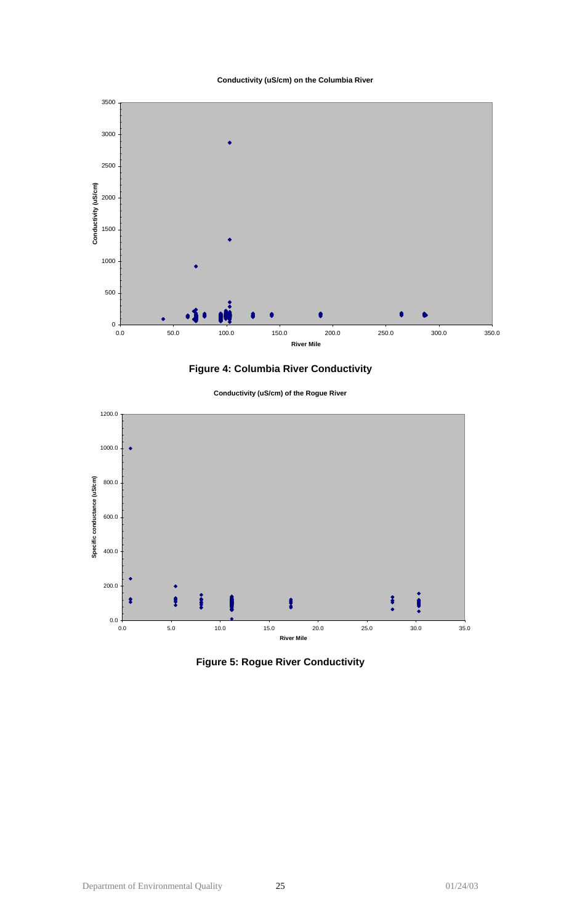#### **Conductivity (uS/cm) on the Columbia River**





**Conductivity (uS/cm) of the Rogue River**



**Figure 5: Rogue River Conductivity**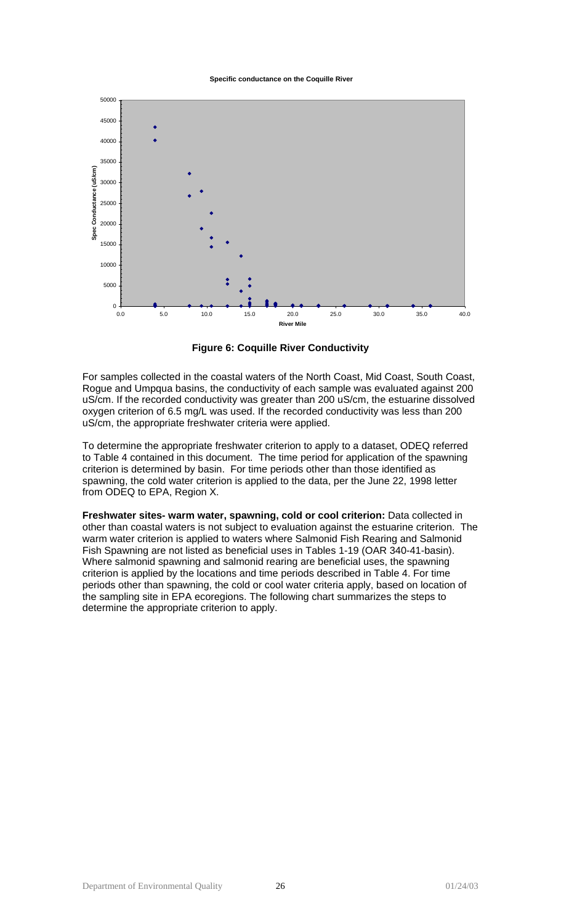**Specific conductance on the Coquille River**



**Figure 6: Coquille River Conductivity**

For samples collected in the coastal waters of the North Coast, Mid Coast, South Coast, Rogue and Umpqua basins, the conductivity of each sample was evaluated against 200 uS/cm. If the recorded conductivity was greater than 200 uS/cm, the estuarine dissolved oxygen criterion of 6.5 mg/L was used. If the recorded conductivity was less than 200 uS/cm, the appropriate freshwater criteria were applied.

To determine the appropriate freshwater criterion to apply to a dataset, ODEQ referred to Table 4 contained in this document. The time period for application of the spawning criterion is determined by basin. For time periods other than those identified as spawning, the cold water criterion is applied to the data, per the June 22, 1998 letter from ODEQ to EPA, Region X.

**Freshwater sites- warm water, spawning, cold or cool criterion:** Data collected in other than coastal waters is not subject to evaluation against the estuarine criterion. The warm water criterion is applied to waters where Salmonid Fish Rearing and Salmonid Fish Spawning are not listed as beneficial uses in Tables 1-19 (OAR 340-41-basin). Where salmonid spawning and salmonid rearing are beneficial uses, the spawning criterion is applied by the locations and time periods described in Table 4. For time periods other than spawning, the cold or cool water criteria apply, based on location of the sampling site in EPA ecoregions. The following chart summarizes the steps to determine the appropriate criterion to apply.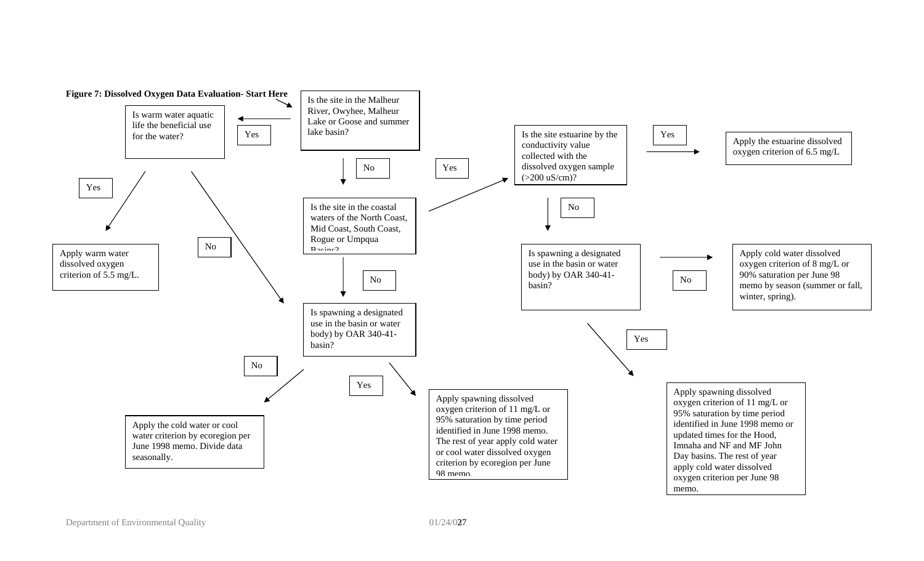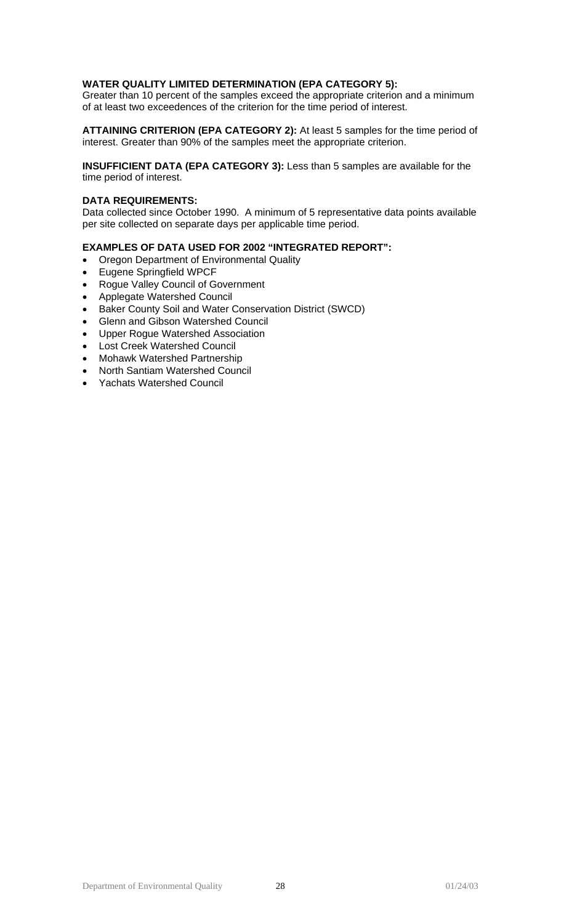### **WATER QUALITY LIMITED DETERMINATION (EPA CATEGORY 5):**

Greater than 10 percent of the samples exceed the appropriate criterion and a minimum of at least two exceedences of the criterion for the time period of interest.

**ATTAINING CRITERION (EPA CATEGORY 2):** At least 5 samples for the time period of interest. Greater than 90% of the samples meet the appropriate criterion.

**INSUFFICIENT DATA (EPA CATEGORY 3):** Less than 5 samples are available for the time period of interest.

### **DATA REQUIREMENTS:**

Data collected since October 1990. A minimum of 5 representative data points available per site collected on separate days per applicable time period.

## **EXAMPLES OF DATA USED FOR 2002 "INTEGRATED REPORT":**

- Oregon Department of Environmental Quality
- Eugene Springfield WPCF
- Rogue Valley Council of Government
- Applegate Watershed Council
- Baker County Soil and Water Conservation District (SWCD)
- Glenn and Gibson Watershed Council
- Upper Rogue Watershed Association
- Lost Creek Watershed Council
- Mohawk Watershed Partnership
- North Santiam Watershed Council
- Yachats Watershed Council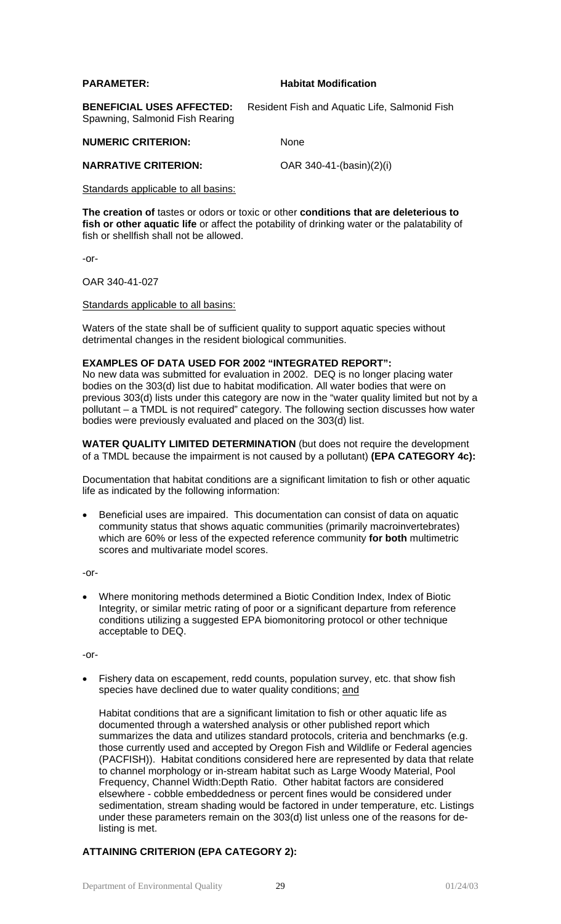#### **PARAMETER: Habitat Modification**

**BENEFICIAL USES AFFECTED:** Resident Fish and Aquatic Life, Salmonid Fish Spawning, Salmonid Fish Rearing

**NUMERIC CRITERION:** None

**NARRATIVE CRITERION:** OAR 340-41-(basin)(2)(i)

Standards applicable to all basins:

**The creation of** tastes or odors or toxic or other **conditions that are deleterious to fish or other aquatic life** or affect the potability of drinking water or the palatability of fish or shellfish shall not be allowed.

-or-

OAR 340-41-027

#### Standards applicable to all basins:

Waters of the state shall be of sufficient quality to support aquatic species without detrimental changes in the resident biological communities.

#### **EXAMPLES OF DATA USED FOR 2002 "INTEGRATED REPORT":**

No new data was submitted for evaluation in 2002. DEQ is no longer placing water bodies on the 303(d) list due to habitat modification. All water bodies that were on previous 303(d) lists under this category are now in the "water quality limited but not by a pollutant – a TMDL is not required" category. The following section discusses how water bodies were previously evaluated and placed on the 303(d) list.

**WATER QUALITY LIMITED DETERMINATION** (but does not require the development of a TMDL because the impairment is not caused by a pollutant) **(EPA CATEGORY 4c):** 

Documentation that habitat conditions are a significant limitation to fish or other aquatic life as indicated by the following information:

• Beneficial uses are impaired. This documentation can consist of data on aquatic community status that shows aquatic communities (primarily macroinvertebrates) which are 60% or less of the expected reference community **for both** multimetric scores and multivariate model scores.

-or-

• Where monitoring methods determined a Biotic Condition Index, Index of Biotic Integrity, or similar metric rating of poor or a significant departure from reference conditions utilizing a suggested EPA biomonitoring protocol or other technique acceptable to DEQ.

-or-

• Fishery data on escapement, redd counts, population survey, etc. that show fish species have declined due to water quality conditions; and

Habitat conditions that are a significant limitation to fish or other aquatic life as documented through a watershed analysis or other published report which summarizes the data and utilizes standard protocols, criteria and benchmarks (e.g. those currently used and accepted by Oregon Fish and Wildlife or Federal agencies (PACFISH)). Habitat conditions considered here are represented by data that relate to channel morphology or in-stream habitat such as Large Woody Material, Pool Frequency, Channel Width:Depth Ratio. Other habitat factors are considered elsewhere - cobble embeddedness or percent fines would be considered under sedimentation, stream shading would be factored in under temperature, etc. Listings under these parameters remain on the 303(d) list unless one of the reasons for delisting is met.

## **ATTAINING CRITERION (EPA CATEGORY 2):**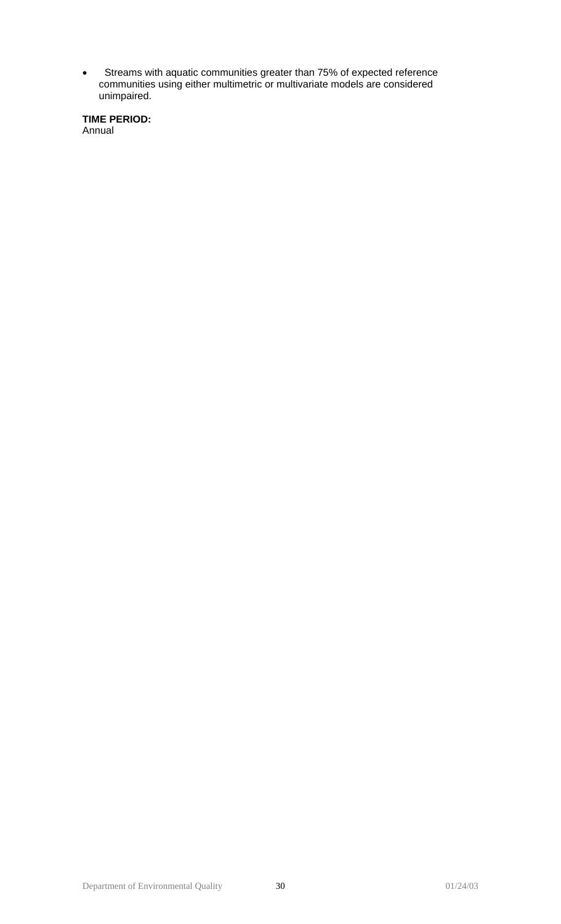• Streams with aquatic communities greater than 75% of expected reference communities using either multimetric or multivariate models are considered unimpaired.

**TIME PERIOD:**  Annual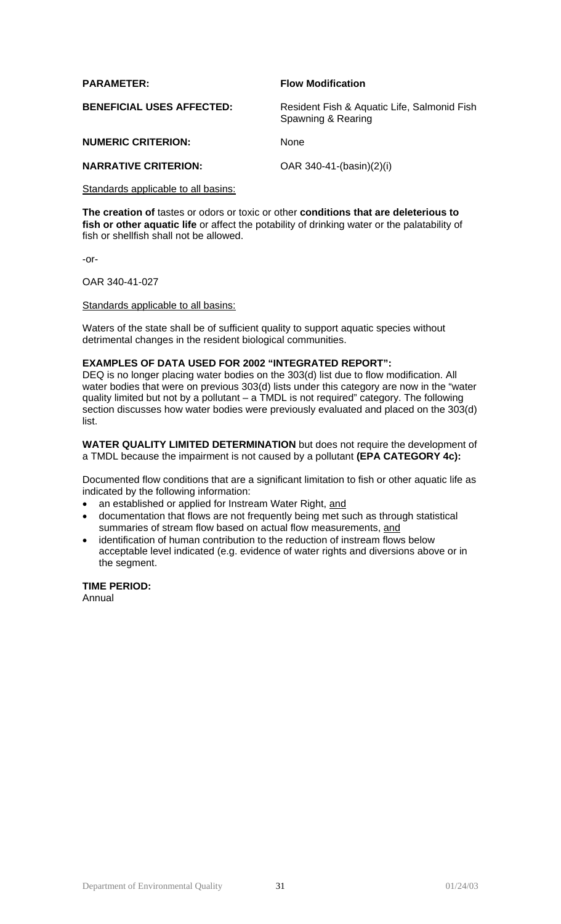| <b>PARAMETER:</b>                | <b>Flow Modification</b>                                          |
|----------------------------------|-------------------------------------------------------------------|
| <b>BENEFICIAL USES AFFECTED:</b> | Resident Fish & Aquatic Life, Salmonid Fish<br>Spawning & Rearing |
| <b>NUMERIC CRITERION:</b>        | <b>None</b>                                                       |
| <b>NARRATIVE CRITERION:</b>      | OAR 340-41-(basin)(2)(i)                                          |

#### Standards applicable to all basins:

**The creation of** tastes or odors or toxic or other **conditions that are deleterious to fish or other aquatic life** or affect the potability of drinking water or the palatability of fish or shellfish shall not be allowed.

-or-

OAR 340-41-027

#### Standards applicable to all basins:

Waters of the state shall be of sufficient quality to support aquatic species without detrimental changes in the resident biological communities.

#### **EXAMPLES OF DATA USED FOR 2002 "INTEGRATED REPORT":**

DEQ is no longer placing water bodies on the 303(d) list due to flow modification. All water bodies that were on previous 303(d) lists under this category are now in the "water quality limited but not by a pollutant – a TMDL is not required" category. The following section discusses how water bodies were previously evaluated and placed on the 303(d) list.

**WATER QUALITY LIMITED DETERMINATION** but does not require the development of a TMDL because the impairment is not caused by a pollutant **(EPA CATEGORY 4c):** 

Documented flow conditions that are a significant limitation to fish or other aquatic life as indicated by the following information:

- an established or applied for Instream Water Right, and
- documentation that flows are not frequently being met such as through statistical summaries of stream flow based on actual flow measurements, and
- identification of human contribution to the reduction of instream flows below acceptable level indicated (e.g. evidence of water rights and diversions above or in the segment.

**TIME PERIOD:** Annual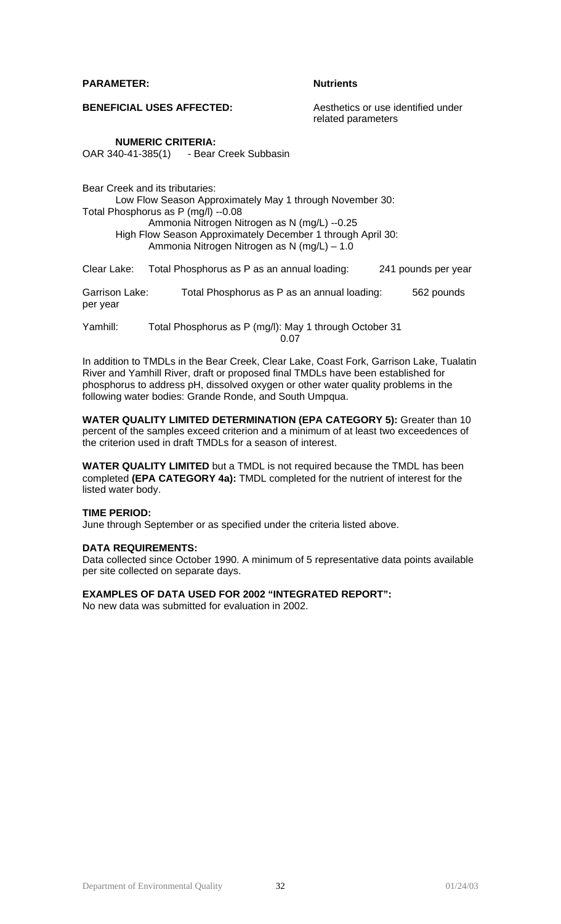#### **PARAMETER:** Nutrients

**BENEFICIAL USES AFFECTED:** Aesthetics or use identified under

related parameters

#### **NUMERIC CRITERIA:**

OAR 340-41-385(1) - Bear Creek Subbasin

Bear Creek and its tributaries:

Low Flow Season Approximately May 1 through November 30: Total Phosphorus as P (mg/l) --0.08 Ammonia Nitrogen Nitrogen as N (mg/L) --0.25 High Flow Season Approximately December 1 through April 30: Ammonia Nitrogen Nitrogen as N (mg/L) – 1.0

Clear Lake: Total Phosphorus as P as an annual loading: 241 pounds per year

Garrison Lake: Total Phosphorus as P as an annual loading: 562 pounds per year

Yamhill: Total Phosphorus as P (mg/l): May 1 through October 31 <u>0.07</u>

In addition to TMDLs in the Bear Creek, Clear Lake, Coast Fork, Garrison Lake, Tualatin River and Yamhill River, draft or proposed final TMDLs have been established for phosphorus to address pH, dissolved oxygen or other water quality problems in the following water bodies: Grande Ronde, and South Umpqua.

**WATER QUALITY LIMITED DETERMINATION (EPA CATEGORY 5):** Greater than 10 percent of the samples exceed criterion and a minimum of at least two exceedences of the criterion used in draft TMDLs for a season of interest.

**WATER QUALITY LIMITED** but a TMDL is not required because the TMDL has been completed **(EPA CATEGORY 4a):** TMDL completed for the nutrient of interest for the listed water body.

#### **TIME PERIOD:**

June through September or as specified under the criteria listed above.

#### **DATA REQUIREMENTS:**

Data collected since October 1990. A minimum of 5 representative data points available per site collected on separate days.

### **EXAMPLES OF DATA USED FOR 2002 "INTEGRATED REPORT":**

No new data was submitted for evaluation in 2002.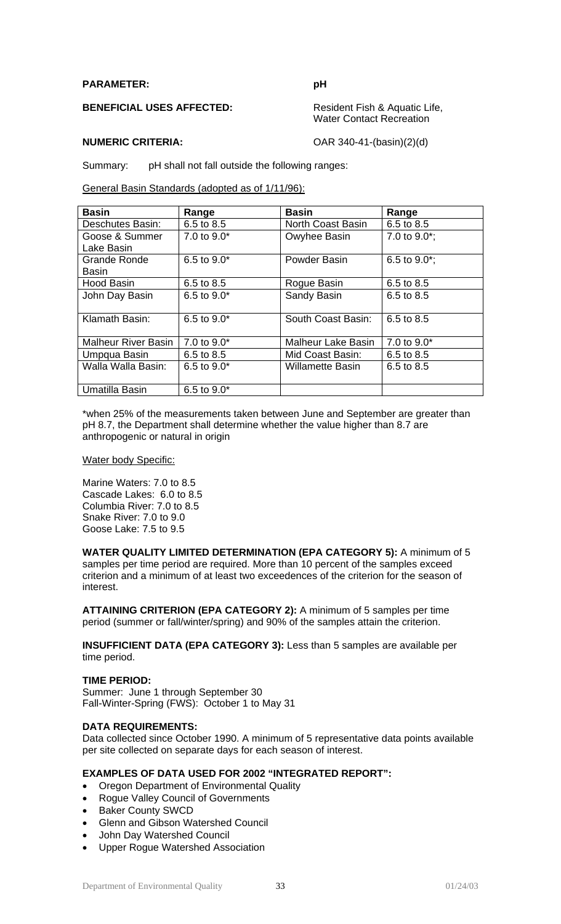#### **PARAMETER: pH**

**BENEFICIAL USES AFFECTED:** Resident Fish & Aquatic Life,

Water Contact Recreation

**NUMERIC CRITERIA:**  $OAR 340-41-(basin)(2)(d)$ 

Summary: pH shall not fall outside the following ranges:

General Basin Standards (adopted as of 1/11/96):

| <b>Basin</b>               | Range           | <b>Basin</b>              | Range            |
|----------------------------|-----------------|---------------------------|------------------|
| Deschutes Basin:           | 6.5 to 8.5      | North Coast Basin         | 6.5 to 8.5       |
| Goose & Summer             | 7.0 to 9.0*     | Owyhee Basin              | 7.0 to $9.0^*$ ; |
| Lake Basin                 |                 |                           |                  |
| Grande Ronde               | 6.5 to 9.0*     | Powder Basin              | 6.5 to $9.0^*$ ; |
| Basin                      |                 |                           |                  |
| <b>Hood Basin</b>          | 6.5 to 8.5      | Rogue Basin               | 6.5 to 8.5       |
| John Day Basin             | 6.5 to $9.0*$   | Sandy Basin               | 6.5 to 8.5       |
|                            |                 |                           |                  |
| Klamath Basin:             | 6.5 to $9.0*$   | South Coast Basin:        | 6.5 to 8.5       |
|                            |                 |                           |                  |
| <b>Malheur River Basin</b> | 7.0 to 9.0*     | <b>Malheur Lake Basin</b> | 7.0 to 9.0*      |
| Umpqua Basin               | 6.5 to 8.5      | Mid Coast Basin:          | 6.5 to 8.5       |
| Walla Walla Basin:         | 6.5 to $9.0*$   | Willamette Basin          | 6.5 to 8.5       |
|                            |                 |                           |                  |
| Umatilla Basin             | $6.5$ to $9.0*$ |                           |                  |

\*when 25% of the measurements taken between June and September are greater than pH 8.7, the Department shall determine whether the value higher than 8.7 are anthropogenic or natural in origin

#### Water body Specific:

Marine Waters: 7.0 to 8.5 Cascade Lakes: 6.0 to 8.5 Columbia River: 7.0 to 8.5 Snake River: 7.0 to 9.0 Goose Lake: 7.5 to 9.5

**WATER QUALITY LIMITED DETERMINATION (EPA CATEGORY 5):** A minimum of 5 samples per time period are required. More than 10 percent of the samples exceed criterion and a minimum of at least two exceedences of the criterion for the season of interest.

**ATTAINING CRITERION (EPA CATEGORY 2):** A minimum of 5 samples per time period (summer or fall/winter/spring) and 90% of the samples attain the criterion.

**INSUFFICIENT DATA (EPA CATEGORY 3):** Less than 5 samples are available per time period.

#### **TIME PERIOD:**

Summer: June 1 through September 30 Fall-Winter-Spring (FWS): October 1 to May 31

## **DATA REQUIREMENTS:**

Data collected since October 1990. A minimum of 5 representative data points available per site collected on separate days for each season of interest.

## **EXAMPLES OF DATA USED FOR 2002 "INTEGRATED REPORT":**

- Oregon Department of Environmental Quality
- Rogue Valley Council of Governments
- **Baker County SWCD**
- Glenn and Gibson Watershed Council
- John Day Watershed Council
- Upper Rogue Watershed Association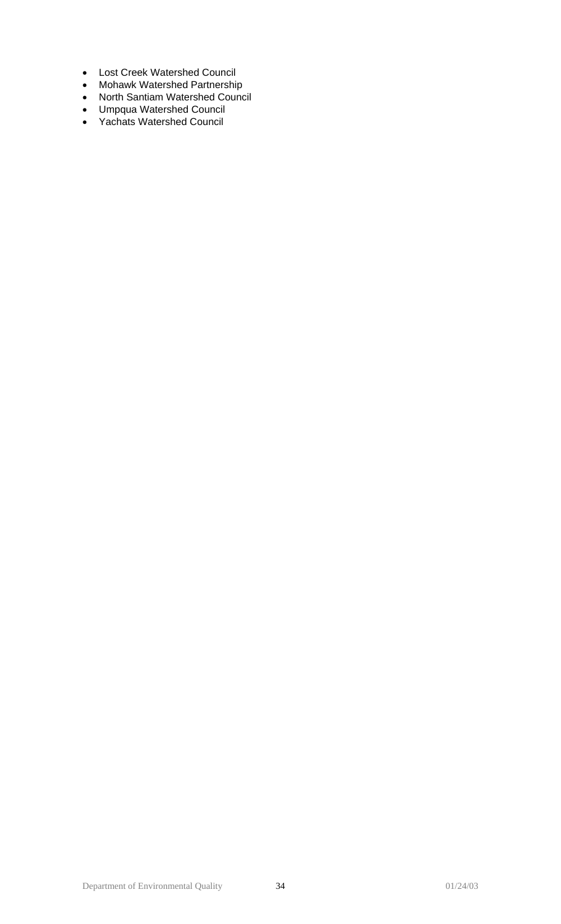- Lost Creek Watershed Council
- Mohawk Watershed Partnership
- North Santiam Watershed Council
- Umpqua Watershed Council
- Yachats Watershed Council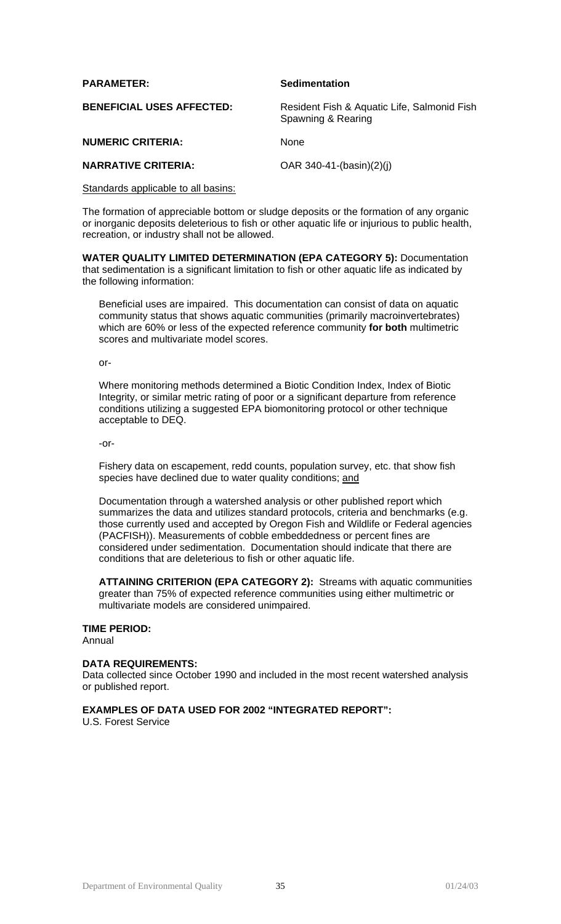| <b>PARAMETER:</b>                | <b>Sedimentation</b>                                              |
|----------------------------------|-------------------------------------------------------------------|
| <b>BENEFICIAL USES AFFECTED:</b> | Resident Fish & Aquatic Life, Salmonid Fish<br>Spawning & Rearing |
| <b>NUMERIC CRITERIA:</b>         | <b>None</b>                                                       |
| <b>NARRATIVE CRITERIA:</b>       | OAR $340-41-(basin)(2)(i)$                                        |

Standards applicable to all basins:

The formation of appreciable bottom or sludge deposits or the formation of any organic or inorganic deposits deleterious to fish or other aquatic life or injurious to public health, recreation, or industry shall not be allowed.

**WATER QUALITY LIMITED DETERMINATION (EPA CATEGORY 5):** Documentation that sedimentation is a significant limitation to fish or other aquatic life as indicated by the following information:

Beneficial uses are impaired. This documentation can consist of data on aquatic community status that shows aquatic communities (primarily macroinvertebrates) which are 60% or less of the expected reference community **for both** multimetric scores and multivariate model scores.

 $\overline{or}$ -

Where monitoring methods determined a Biotic Condition Index, Index of Biotic Integrity, or similar metric rating of poor or a significant departure from reference conditions utilizing a suggested EPA biomonitoring protocol or other technique acceptable to DEQ.

-or-

Fishery data on escapement, redd counts, population survey, etc. that show fish species have declined due to water quality conditions; and

Documentation through a watershed analysis or other published report which summarizes the data and utilizes standard protocols, criteria and benchmarks (e.g. those currently used and accepted by Oregon Fish and Wildlife or Federal agencies (PACFISH)). Measurements of cobble embeddedness or percent fines are considered under sedimentation. Documentation should indicate that there are conditions that are deleterious to fish or other aquatic life.

**ATTAINING CRITERION (EPA CATEGORY 2):** Streams with aquatic communities greater than 75% of expected reference communities using either multimetric or multivariate models are considered unimpaired.

## **TIME PERIOD:**

Annual

## **DATA REQUIREMENTS:**

Data collected since October 1990 and included in the most recent watershed analysis or published report.

## **EXAMPLES OF DATA USED FOR 2002 "INTEGRATED REPORT":**

U.S. Forest Service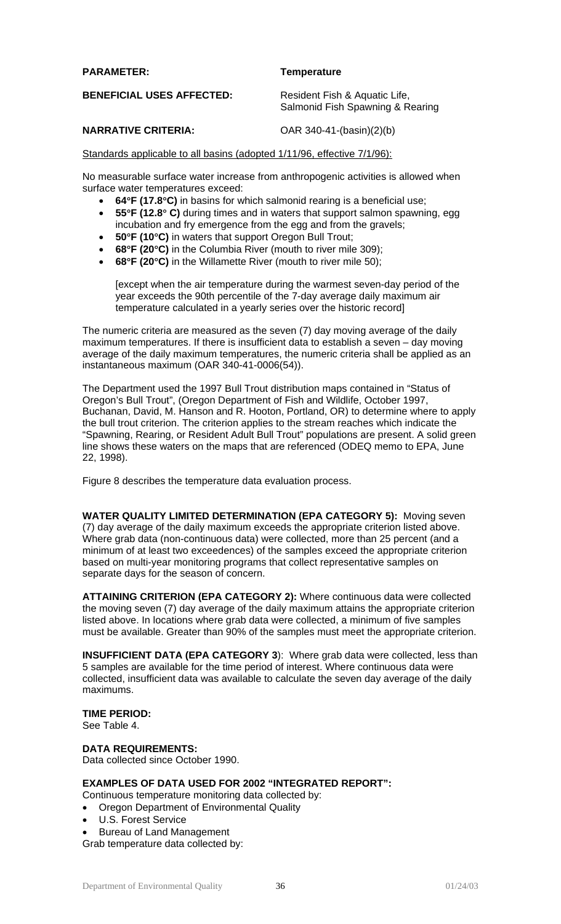### **PARAMETER: Temperature**

**BENEFICIAL USES AFFECTED:** Resident Fish & Aquatic Life,

Salmonid Fish Spawning & Rearing

### **NARRATIVE CRITERIA:** OAR 340-41-(basin)(2)(b)

### Standards applicable to all basins (adopted 1/11/96, effective 7/1/96):

No measurable surface water increase from anthropogenic activities is allowed when surface water temperatures exceed:

- **64**°**F (17.8**°**C)** in basins for which salmonid rearing is a beneficial use;
- **55**°**F (12.8**° **C)** during times and in waters that support salmon spawning, egg incubation and fry emergence from the egg and from the gravels;
- **50**°**F (10**°**C)** in waters that support Oregon Bull Trout;
- **68**°**F (20**°**C)** in the Columbia River (mouth to river mile 309);
- **68**°**F (20**°**C)** in the Willamette River (mouth to river mile 50);

[except when the air temperature during the warmest seven-day period of the year exceeds the 90th percentile of the 7-day average daily maximum air temperature calculated in a yearly series over the historic record]

The numeric criteria are measured as the seven (7) day moving average of the daily maximum temperatures. If there is insufficient data to establish a seven – day moving average of the daily maximum temperatures, the numeric criteria shall be applied as an instantaneous maximum (OAR 340-41-0006(54)).

The Department used the 1997 Bull Trout distribution maps contained in "Status of Oregon's Bull Trout", (Oregon Department of Fish and Wildlife, October 1997, Buchanan, David, M. Hanson and R. Hooton, Portland, OR) to determine where to apply the bull trout criterion. The criterion applies to the stream reaches which indicate the "Spawning, Rearing, or Resident Adult Bull Trout" populations are present. A solid green line shows these waters on the maps that are referenced (ODEQ memo to EPA, June 22, 1998).

Figure 8 describes the temperature data evaluation process.

**WATER QUALITY LIMITED DETERMINATION (EPA CATEGORY 5):** Moving seven (7) day average of the daily maximum exceeds the appropriate criterion listed above. Where grab data (non-continuous data) were collected, more than 25 percent (and a minimum of at least two exceedences) of the samples exceed the appropriate criterion based on multi-year monitoring programs that collect representative samples on separate days for the season of concern.

**ATTAINING CRITERION (EPA CATEGORY 2):** Where continuous data were collected the moving seven (7) day average of the daily maximum attains the appropriate criterion listed above. In locations where grab data were collected, a minimum of five samples must be available. Greater than 90% of the samples must meet the appropriate criterion.

**INSUFFICIENT DATA (EPA CATEGORY 3**): Where grab data were collected, less than 5 samples are available for the time period of interest. Where continuous data were collected, insufficient data was available to calculate the seven day average of the daily maximums.

**TIME PERIOD:**

See Table 4.

## **DATA REQUIREMENTS:**

Data collected since October 1990.

#### **EXAMPLES OF DATA USED FOR 2002 "INTEGRATED REPORT":**

Continuous temperature monitoring data collected by:

- Oregon Department of Environmental Quality
- U.S. Forest Service
- Bureau of Land Management

Grab temperature data collected by: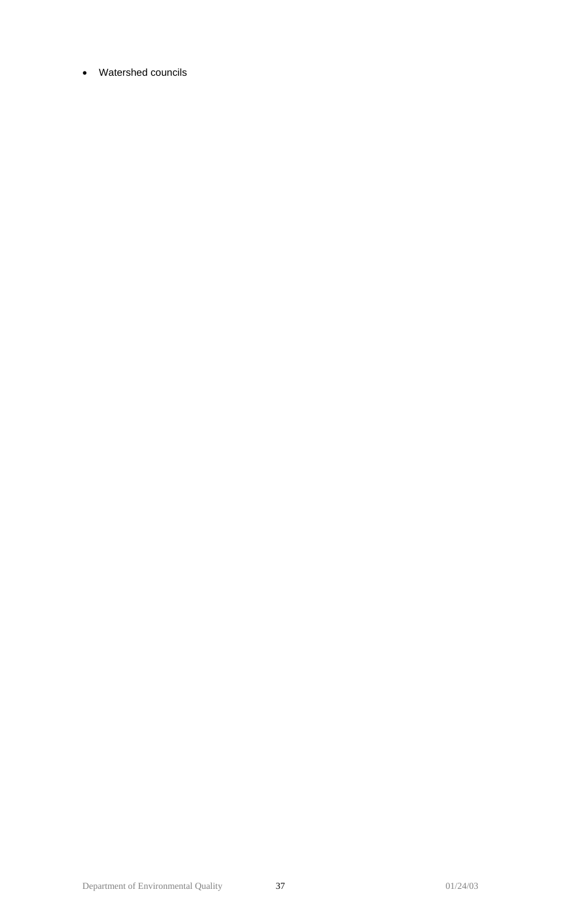• Watershed councils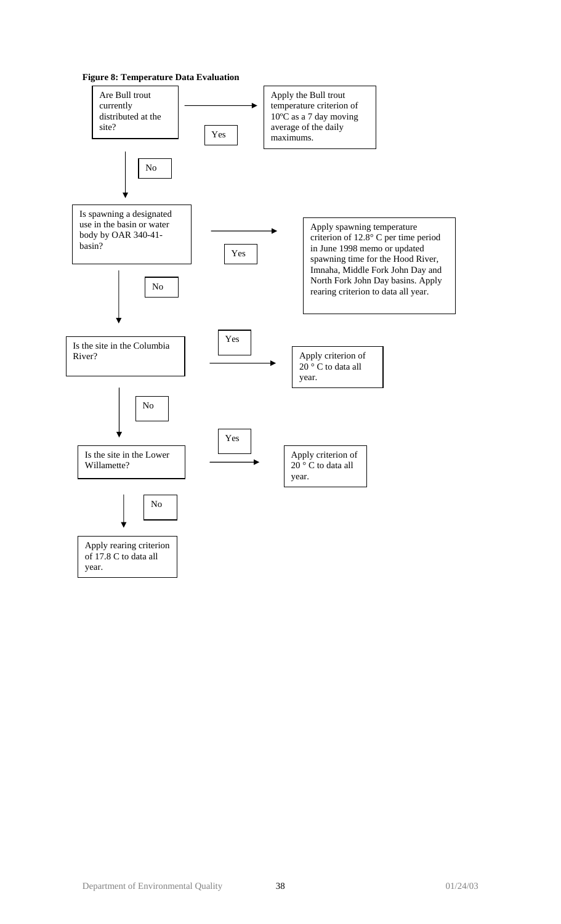![](_page_37_Figure_0.jpeg)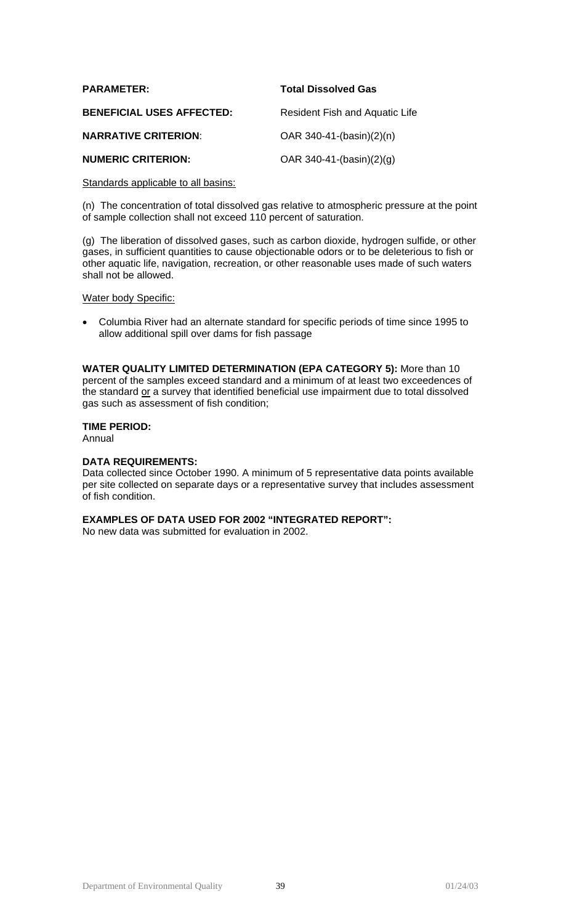| <b>PARAMETER:</b>                | <b>Total Dissolved Gas</b>     |
|----------------------------------|--------------------------------|
| <b>BENEFICIAL USES AFFECTED:</b> | Resident Fish and Aquatic Life |
| <b>NARRATIVE CRITERION:</b>      | OAR $340-41-(basin)(2)(n)$     |
| <b>NUMERIC CRITERION:</b>        | OAR 340-41-(basin)(2)(g)       |

#### Standards applicable to all basins:

(n) The concentration of total dissolved gas relative to atmospheric pressure at the point of sample collection shall not exceed 110 percent of saturation.

(g) The liberation of dissolved gases, such as carbon dioxide, hydrogen sulfide, or other gases, in sufficient quantities to cause objectionable odors or to be deleterious to fish or other aquatic life, navigation, recreation, or other reasonable uses made of such waters shall not be allowed.

#### Water body Specific:

• Columbia River had an alternate standard for specific periods of time since 1995 to allow additional spill over dams for fish passage

**WATER QUALITY LIMITED DETERMINATION (EPA CATEGORY 5):** More than 10 percent of the samples exceed standard and a minimum of at least two exceedences of the standard or a survey that identified beneficial use impairment due to total dissolved gas such as assessment of fish condition;

## **TIME PERIOD:**

Annual

#### **DATA REQUIREMENTS:**

Data collected since October 1990. A minimum of 5 representative data points available per site collected on separate days or a representative survey that includes assessment of fish condition.

## **EXAMPLES OF DATA USED FOR 2002 "INTEGRATED REPORT":**

No new data was submitted for evaluation in 2002.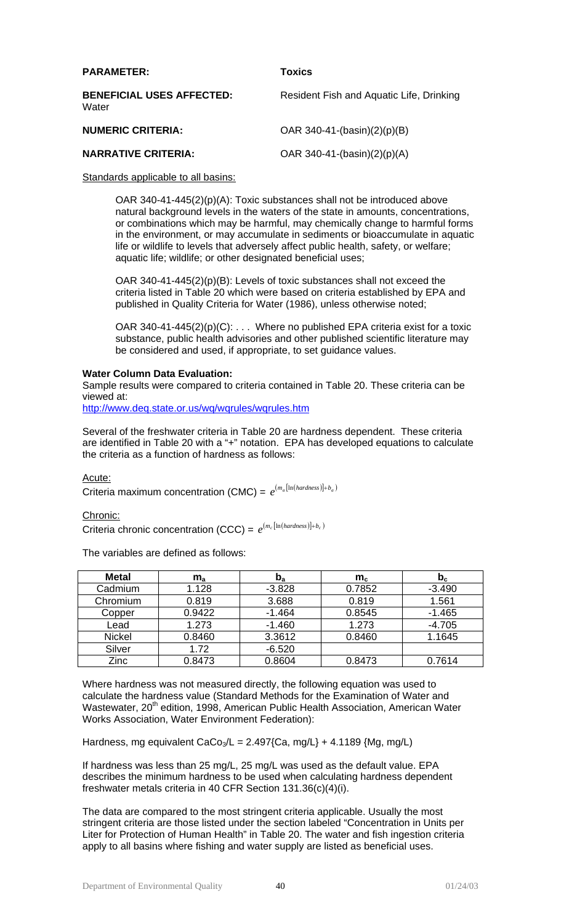| <b>PARAMETER:</b>                         | <b>Toxics</b>                            |
|-------------------------------------------|------------------------------------------|
| <b>BENEFICIAL USES AFFECTED:</b><br>Water | Resident Fish and Aquatic Life, Drinking |
| <b>NUMERIC CRITERIA:</b>                  | OAR 340-41- $(basin)(2)(p)(B)$           |
| <b>NARRATIVE CRITERIA:</b>                | OAR 340-41-(basin)(2)(p)(A)              |

### Standards applicable to all basins:

OAR 340-41-445(2)(p)(A): Toxic substances shall not be introduced above natural background levels in the waters of the state in amounts, concentrations, or combinations which may be harmful, may chemically change to harmful forms in the environment, or may accumulate in sediments or bioaccumulate in aquatic life or wildlife to levels that adversely affect public health, safety, or welfare; aquatic life; wildlife; or other designated beneficial uses;

OAR 340-41-445(2)(p)(B): Levels of toxic substances shall not exceed the criteria listed in Table 20 which were based on criteria established by EPA and published in Quality Criteria for Water (1986), unless otherwise noted;

OAR 340-41-445 $(2)(p)(C)$ : ... Where no published EPA criteria exist for a toxic substance, public health advisories and other published scientific literature may be considered and used, if appropriate, to set guidance values.

## **Water Column Data Evaluation:**

Sample results were compared to criteria contained in Table 20. These criteria can be viewed at:

<http://www.deq.state.or.us/wq/wqrules/wqrules.htm>

Several of the freshwater criteria in Table 20 are hardness dependent. These criteria are identified in Table 20 with a "+" notation. EPA has developed equations to calculate the criteria as a function of hardness as follows:

## Acute:

Criteria maximum concentration (CMC) =  $e^{(m_a \left[ \ln \left( {hardness} \right) \right] + b_a)}$ 

Chronic:

Criteria chronic concentration (CCC) =  $e^{(m_c \lfloor \ln (hardness) \rfloor + b_c)}$ 

The variables are defined as follows:

| <b>Metal</b>  | $m_{a}$ | $\mathbf{p}_a$ | $m_c$  | $\mathbf{p}_{\rm c}$ |
|---------------|---------|----------------|--------|----------------------|
| Cadmium       | 1.128   | $-3.828$       | 0.7852 | $-3.490$             |
| Chromium      | 0.819   | 3.688          | 0.819  | 1.561                |
| Copper        | 0.9422  | $-1.464$       | 0.8545 | $-1.465$             |
| Lead          | 1.273   | $-1.460$       | 1.273  | $-4.705$             |
| <b>Nickel</b> | 0.8460  | 3.3612         | 0.8460 | 1.1645               |
| Silver        | 1.72    | $-6.520$       |        |                      |
| Zinc          | 0.8473  | 0.8604         | 0.8473 | 0.7614               |

Where hardness was not measured directly, the following equation was used to calculate the hardness value (Standard Methods for the Examination of Water and Wastewater, 20<sup>th</sup> edition, 1998, American Public Health Association, American Water Works Association, Water Environment Federation):

Hardness, mg equivalent CaCo<sub>3</sub>/L = 2.497{Ca, mg/L} + 4.1189 {Mg, mg/L)

If hardness was less than 25 mg/L, 25 mg/L was used as the default value. EPA describes the minimum hardness to be used when calculating hardness dependent freshwater metals criteria in 40 CFR Section 131.36(c)(4)(i).

The data are compared to the most stringent criteria applicable. Usually the most stringent criteria are those listed under the section labeled "Concentration in Units per Liter for Protection of Human Health" in Table 20. The water and fish ingestion criteria apply to all basins where fishing and water supply are listed as beneficial uses.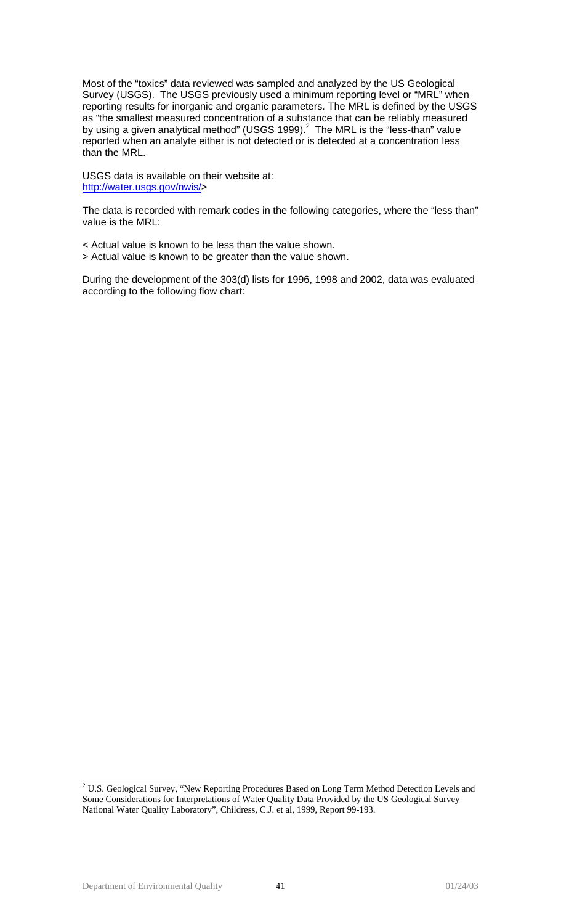Most of the "toxics" data reviewed was sampled and analyzed by the US Geological Survey (USGS). The USGS previously used a minimum reporting level or "MRL" when reporting results for inorganic and organic parameters. The MRL is defined by the USGS as "the smallest measured concentration of a substance that can be reliably measured by using a given analytical method" (USGS 1999). $^2$  $^2$  The MRL is the "less-than" value reported when an analyte either is not detected or is detected at a concentration less than the MRL.

USGS data is available on their website at: [http://water.usgs.gov/nwis/>](http://water.usgs.gov/nwis/)

The data is recorded with remark codes in the following categories, where the "less than" value is the MRL:

< Actual value is known to be less than the value shown.

> Actual value is known to be greater than the value shown.

During the development of the 303(d) lists for 1996, 1998 and 2002, data was evaluated according to the following flow chart:

<span id="page-40-0"></span><sup>&</sup>lt;sup>2</sup>  $2$  U.S. Geological Survey, "New Reporting Procedures Based on Long Term Method Detection Levels and Some Considerations for Interpretations of Water Quality Data Provided by the US Geological Survey National Water Quality Laboratory", Childress, C.J. et al, 1999, Report 99-193.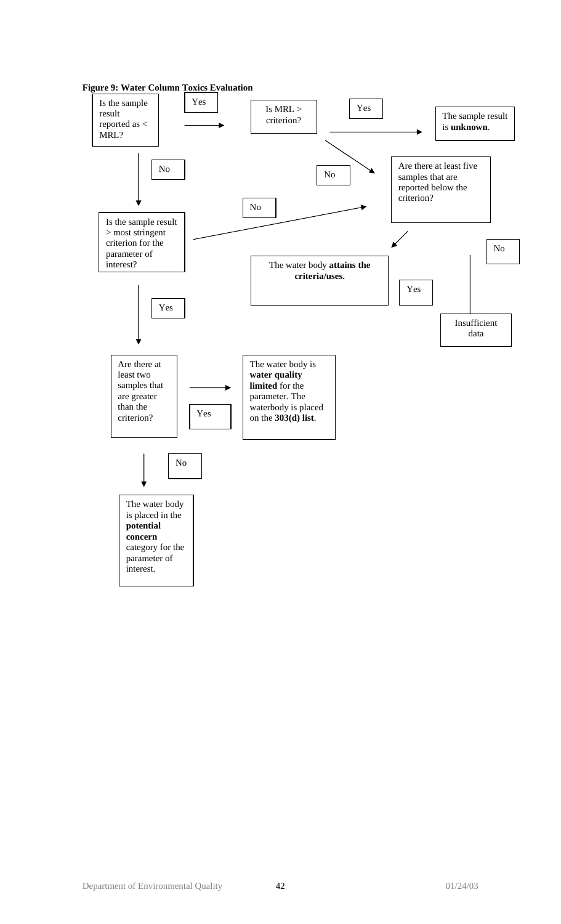![](_page_41_Figure_0.jpeg)

![](_page_41_Figure_1.jpeg)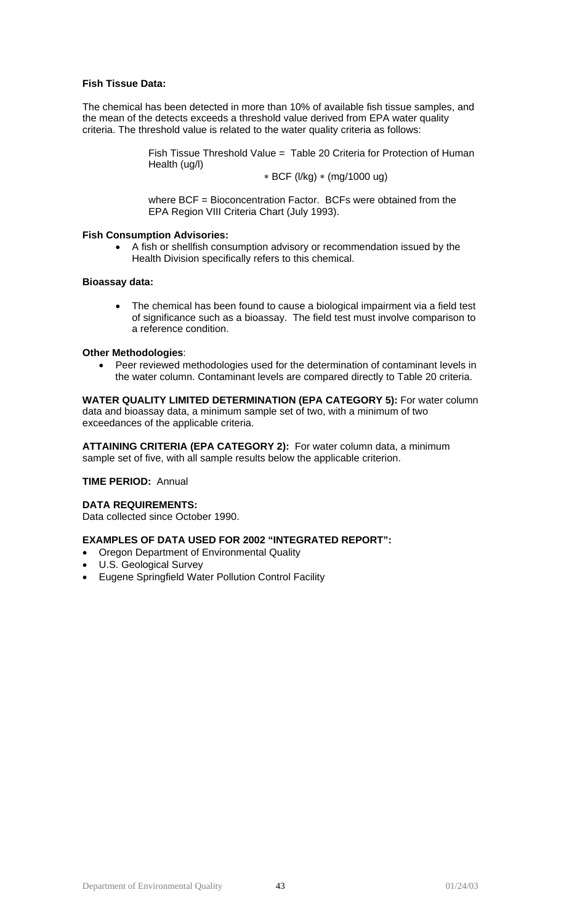## **Fish Tissue Data:**

The chemical has been detected in more than 10% of available fish tissue samples, and the mean of the detects exceeds a threshold value derived from EPA water quality criteria. The threshold value is related to the water quality criteria as follows:

> Fish Tissue Threshold Value = Table 20 Criteria for Protection of Human Health (ug/l)

∗ BCF (l/kg) ∗ (mg/1000 ug)

where BCF = Bioconcentration Factor. BCFs were obtained from the EPA Region VIII Criteria Chart (July 1993).

#### **Fish Consumption Advisories:**

• A fish or shellfish consumption advisory or recommendation issued by the Health Division specifically refers to this chemical.

### **Bioassay data:**

The chemical has been found to cause a biological impairment via a field test of significance such as a bioassay. The field test must involve comparison to a reference condition.

#### **Other Methodologies**:

• Peer reviewed methodologies used for the determination of contaminant levels in the water column. Contaminant levels are compared directly to Table 20 criteria.

**WATER QUALITY LIMITED DETERMINATION (EPA CATEGORY 5):** For water column data and bioassay data, a minimum sample set of two, with a minimum of two exceedances of the applicable criteria.

**ATTAINING CRITERIA (EPA CATEGORY 2):** For water column data, a minimum sample set of five, with all sample results below the applicable criterion.

## **TIME PERIOD:** Annual

## **DATA REQUIREMENTS:**

Data collected since October 1990.

## **EXAMPLES OF DATA USED FOR 2002 "INTEGRATED REPORT":**

- Oregon Department of Environmental Quality
- U.S. Geological Survey
- Eugene Springfield Water Pollution Control Facility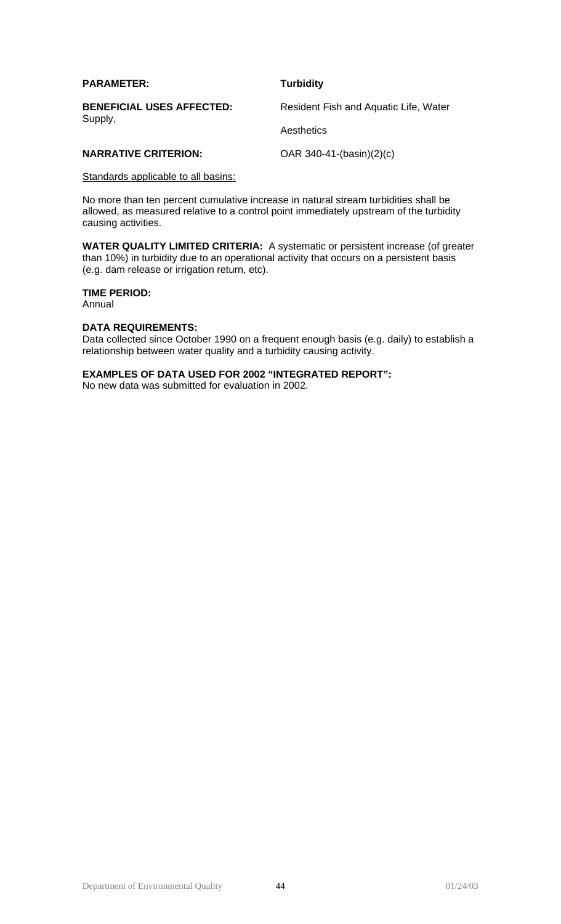| <b>PARAMETER:</b>                           | <b>Turbidity</b>                      |  |
|---------------------------------------------|---------------------------------------|--|
| <b>BENEFICIAL USES AFFECTED:</b><br>Supply, | Resident Fish and Aquatic Life, Water |  |
|                                             | Aesthetics                            |  |
| <b>NARRATIVE CRITERION:</b>                 | OAR $340-41-(basin)(2)(c)$            |  |

# Standards applicable to all basins:

No more than ten percent cumulative increase in natural stream turbidities shall be allowed, as measured relative to a control point immediately upstream of the turbidity causing activities.

**WATER QUALITY LIMITED CRITERIA:** A systematic or persistent increase (of greater than 10%) in turbidity due to an operational activity that occurs on a persistent basis (e.g. dam release or irrigation return, etc).

# **TIME PERIOD:**

Annual

## **DATA REQUIREMENTS:**

Data collected since October 1990 on a frequent enough basis (e.g. daily) to establish a relationship between water quality and a turbidity causing activity.

## **EXAMPLES OF DATA USED FOR 2002 "INTEGRATED REPORT":**

No new data was submitted for evaluation in 2002.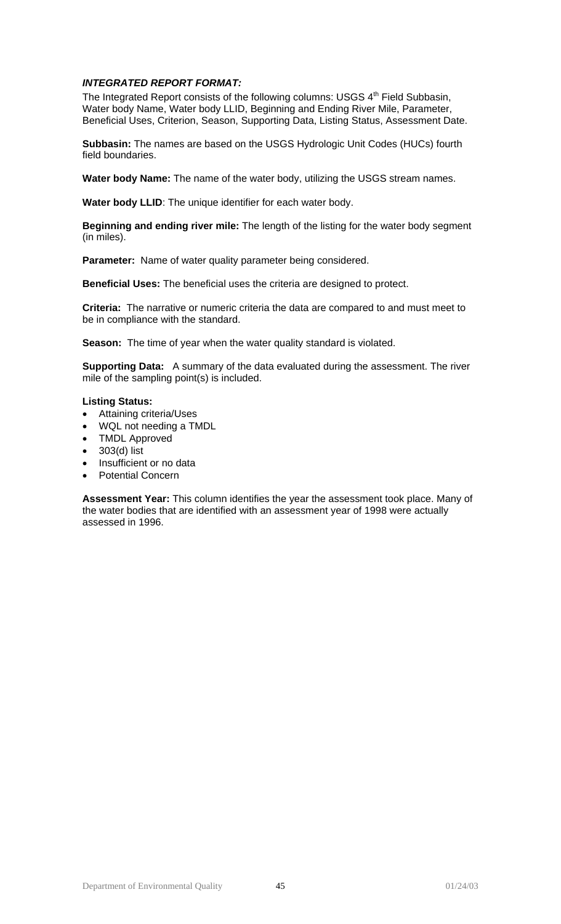## *INTEGRATED REPORT FORMAT:*

The Integrated Report consists of the following columns: USGS  $4<sup>th</sup>$  Field Subbasin, Water body Name, Water body LLID, Beginning and Ending River Mile, Parameter, Beneficial Uses, Criterion, Season, Supporting Data, Listing Status, Assessment Date.

**Subbasin:** The names are based on the USGS Hydrologic Unit Codes (HUCs) fourth field boundaries.

**Water body Name:** The name of the water body, utilizing the USGS stream names.

**Water body LLID**: The unique identifier for each water body.

**Beginning and ending river mile:** The length of the listing for the water body segment (in miles).

**Parameter:** Name of water quality parameter being considered.

**Beneficial Uses:** The beneficial uses the criteria are designed to protect.

**Criteria:** The narrative or numeric criteria the data are compared to and must meet to be in compliance with the standard.

**Season:** The time of year when the water quality standard is violated.

**Supporting Data:** A summary of the data evaluated during the assessment. The river mile of the sampling point(s) is included.

## **Listing Status:**

- Attaining criteria/Uses
- WQL not needing a TMDL
- TMDL Approved
- 303(d) list
- Insufficient or no data
- Potential Concern

**Assessment Year:** This column identifies the year the assessment took place. Many of the water bodies that are identified with an assessment year of 1998 were actually assessed in 1996.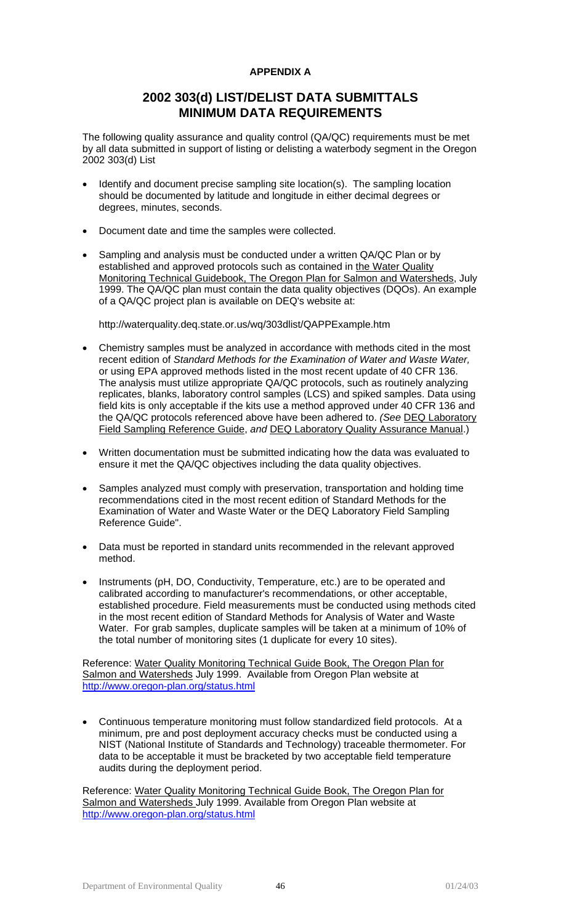## **APPENDIX A**

# **2002 303(d) LIST/DELIST DATA SUBMITTALS MINIMUM DATA REQUIREMENTS**

The following quality assurance and quality control (QA/QC) requirements must be met by all data submitted in support of listing or delisting a waterbody segment in the Oregon 2002 303(d) List

- Identify and document precise sampling site location(s). The sampling location should be documented by latitude and longitude in either decimal degrees or degrees, minutes, seconds.
- Document date and time the samples were collected.
- Sampling and analysis must be conducted under a written QA/QC Plan or by established and approved protocols such as contained in the Water Quality Monitoring Technical Guidebook, The Oregon Plan for Salmon and Watersheds, July 1999. The QA/QC plan must contain the data quality objectives (DQOs). An example of a QA/QC project plan is available on DEQ's website at:

http://waterquality.deq.state.or.us/wq/303dlist/QAPPExample.htm

- Chemistry samples must be analyzed in accordance with methods cited in the most recent edition of *Standard Methods for the Examination of Water and Waste Water,*  or using EPA approved methods listed in the most recent update of 40 CFR 136. The analysis must utilize appropriate QA/QC protocols, such as routinely analyzing replicates, blanks, laboratory control samples (LCS) and spiked samples. Data using field kits is only acceptable if the kits use a method approved under 40 CFR 136 and the QA/QC protocols referenced above have been adhered to. *(See* DEQ Laboratory Field Sampling Reference Guide, *and* DEQ Laboratory Quality Assurance Manual.)
- Written documentation must be submitted indicating how the data was evaluated to ensure it met the QA/QC objectives including the data quality objectives.
- Samples analyzed must comply with preservation, transportation and holding time recommendations cited in the most recent edition of Standard Methods for the Examination of Water and Waste Water or the DEQ Laboratory Field Sampling Reference Guide".
- Data must be reported in standard units recommended in the relevant approved method.
- Instruments (pH, DO, Conductivity, Temperature, etc.) are to be operated and calibrated according to manufacturer's recommendations, or other acceptable, established procedure. Field measurements must be conducted using methods cited in the most recent edition of Standard Methods for Analysis of Water and Waste Water. For grab samples, duplicate samples will be taken at a minimum of 10% of the total number of monitoring sites (1 duplicate for every 10 sites).

Reference: Water Quality Monitoring Technical Guide Book, The Oregon Plan for Salmon and Watersheds July 1999. Available from Oregon Plan website at <http://www.oregon-plan.org/status.html>

• Continuous temperature monitoring must follow standardized field protocols. At a minimum, pre and post deployment accuracy checks must be conducted using a NIST (National Institute of Standards and Technology) traceable thermometer. For data to be acceptable it must be bracketed by two acceptable field temperature audits during the deployment period.

Reference: Water Quality Monitoring Technical Guide Book, The Oregon Plan for Salmon and Watersheds July 1999. Available from Oregon Plan website at <http://www.oregon-plan.org/status.html>